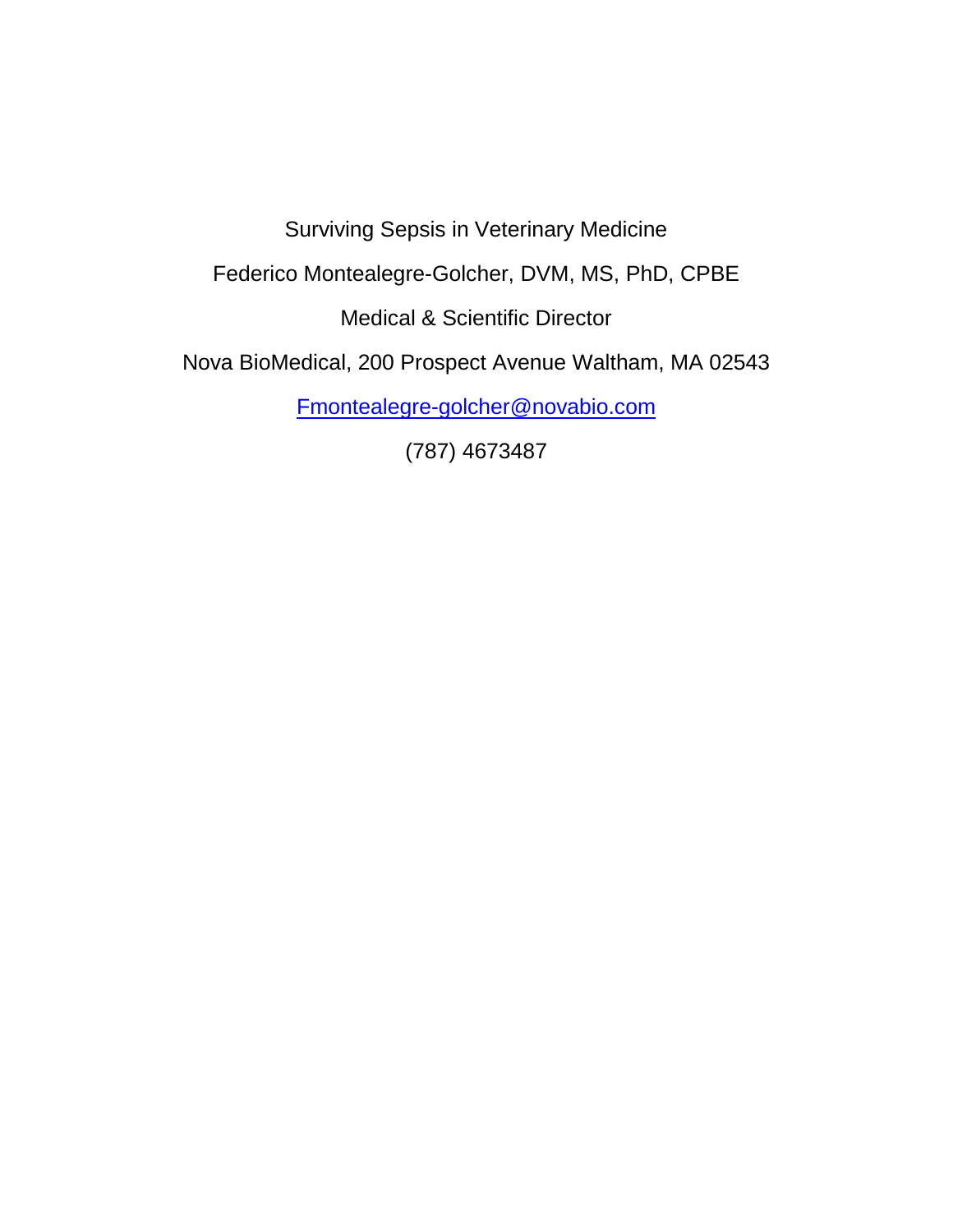Surviving Sepsis in Veterinary Medicine

Federico Montealegre-Golcher, DVM, MS, PhD, CPBE

Medical & Scientific Director

Nova BioMedical, 200 Prospect Avenue Waltham, MA 02543

[Fmontealegre-golcher@novabio.com](mailto:Fmontealegre-golcher@novabio.com)

(787) 4673487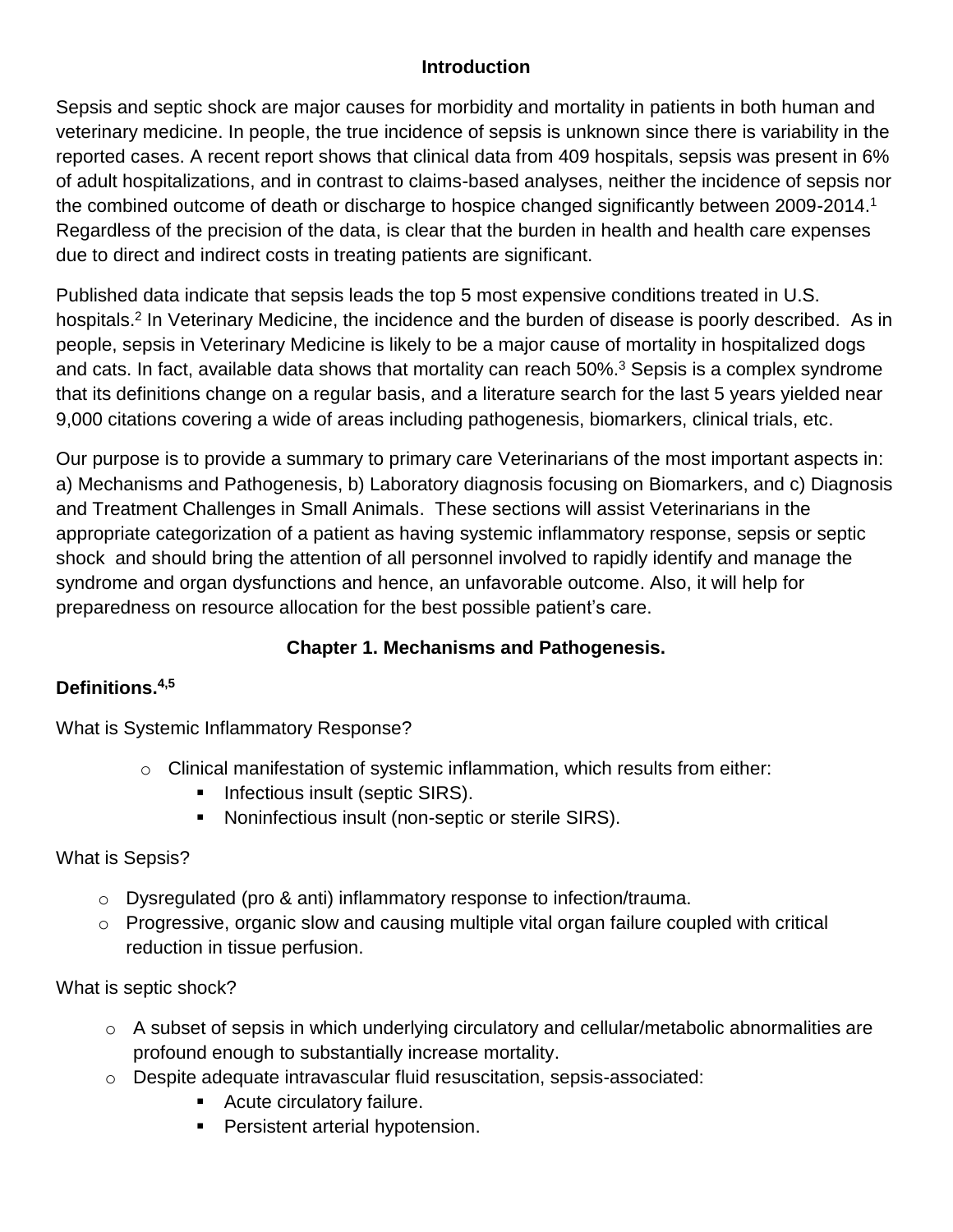### **Introduction**

Sepsis and septic shock are major causes for morbidity and mortality in patients in both human and veterinary medicine. In people, the true incidence of sepsis is unknown since there is variability in the reported cases. A recent report shows that clinical data from 409 hospitals, sepsis was present in 6% of adult hospitalizations, and in contrast to claims-based analyses, neither the incidence of sepsis nor the combined outcome of death or discharge to hospice changed significantly between 2009-2014.<sup>1</sup> Regardless of the precision of the data, is clear that the burden in health and health care expenses due to direct and indirect costs in treating patients are significant.

Published data indicate that sepsis leads the top 5 most expensive conditions treated in U.S. hospitals.<sup>2</sup> In Veterinary Medicine, the incidence and the burden of disease is poorly described. As in people, sepsis in Veterinary Medicine is likely to be a major cause of mortality in hospitalized dogs and cats. In fact, available data shows that mortality can reach  $50\%$ <sup>3</sup> Sepsis is a complex syndrome that its definitions change on a regular basis, and a literature search for the last 5 years yielded near 9,000 citations covering a wide of areas including pathogenesis, biomarkers, clinical trials, etc.

Our purpose is to provide a summary to primary care Veterinarians of the most important aspects in: a) Mechanisms and Pathogenesis, b) Laboratory diagnosis focusing on Biomarkers, and c) Diagnosis and Treatment Challenges in Small Animals. These sections will assist Veterinarians in the appropriate categorization of a patient as having systemic inflammatory response, sepsis or septic shock and should bring the attention of all personnel involved to rapidly identify and manage the syndrome and organ dysfunctions and hence, an unfavorable outcome. Also, it will help for preparedness on resource allocation for the best possible patient's care.

## **Chapter 1. Mechanisms and Pathogenesis.**

## **Definitions. 4,5**

What is Systemic Inflammatory Response?

- o Clinical manifestation of systemic inflammation, which results from either:
	- **Infectious insult (septic SIRS).**
	- **Noninfectious insult (non-septic or sterile SIRS).**

## What is Sepsis?

- o Dysregulated (pro & anti) inflammatory response to infection/trauma.
- o Progressive, organic slow and causing multiple vital organ failure coupled with critical reduction in tissue perfusion.

## What is septic shock?

- o A subset of sepsis in which underlying circulatory and cellular/metabolic abnormalities are profound enough to substantially increase mortality.
- o Despite adequate intravascular fluid resuscitation, sepsis-associated:
	- Acute circulatory failure.
	- **Persistent arterial hypotension.**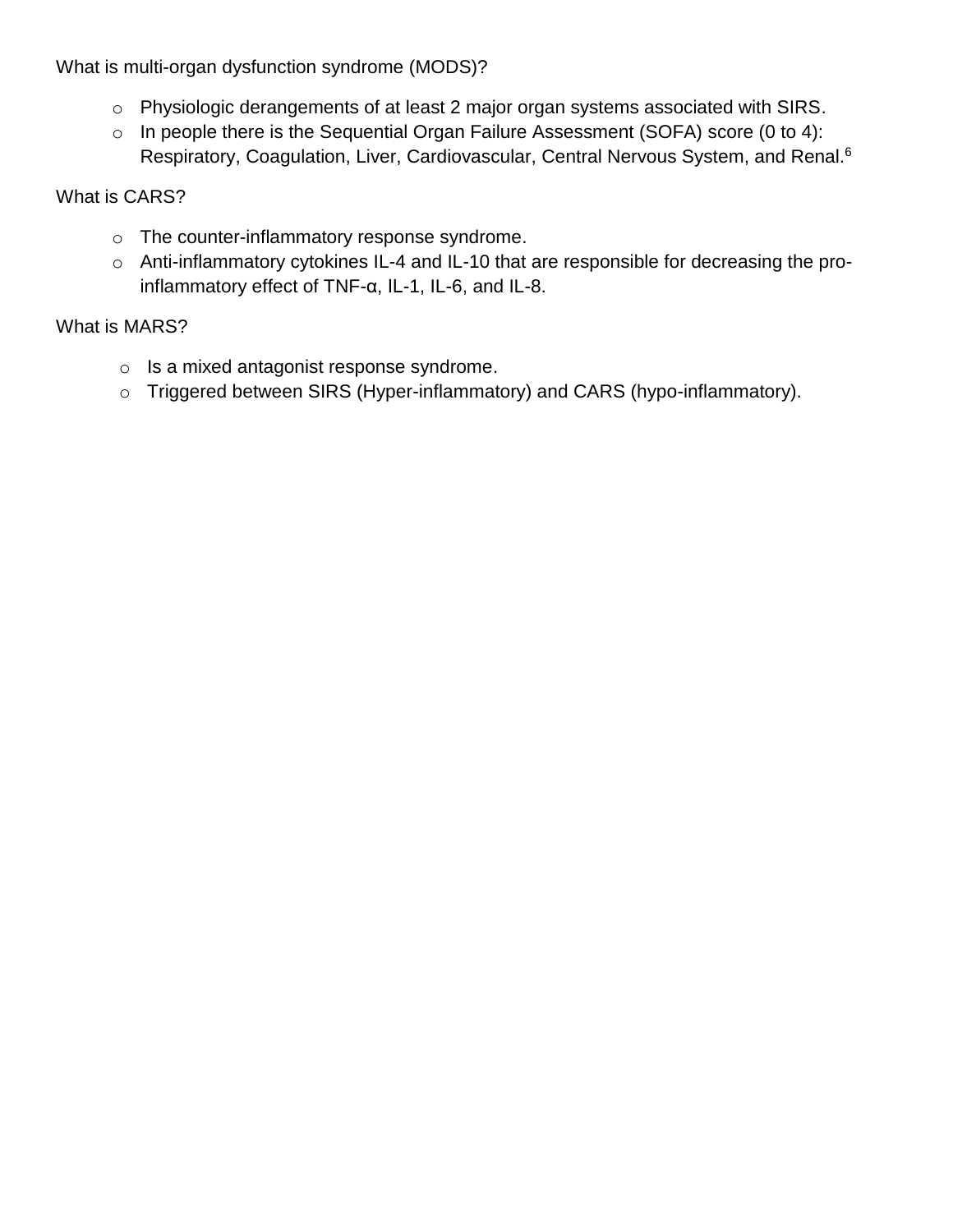What is multi-organ dysfunction syndrome (MODS)?

- o Physiologic derangements of at least 2 major organ systems associated with SIRS.
- o In people there is the Sequential Organ Failure Assessment (SOFA) score (0 to 4): Respiratory, Coagulation, Liver, Cardiovascular, Central Nervous System, and Renal.<sup>6</sup>

What is CARS?

- o The counter-inflammatory response syndrome.
- o Anti-inflammatory cytokines IL-4 and IL-10 that are responsible for decreasing the proinflammatory effect of TNF-α, IL-1, IL-6, and IL-8.

# What is MARS?

- o Is a mixed antagonist response syndrome.
- o Triggered between SIRS (Hyper-inflammatory) and CARS (hypo-inflammatory).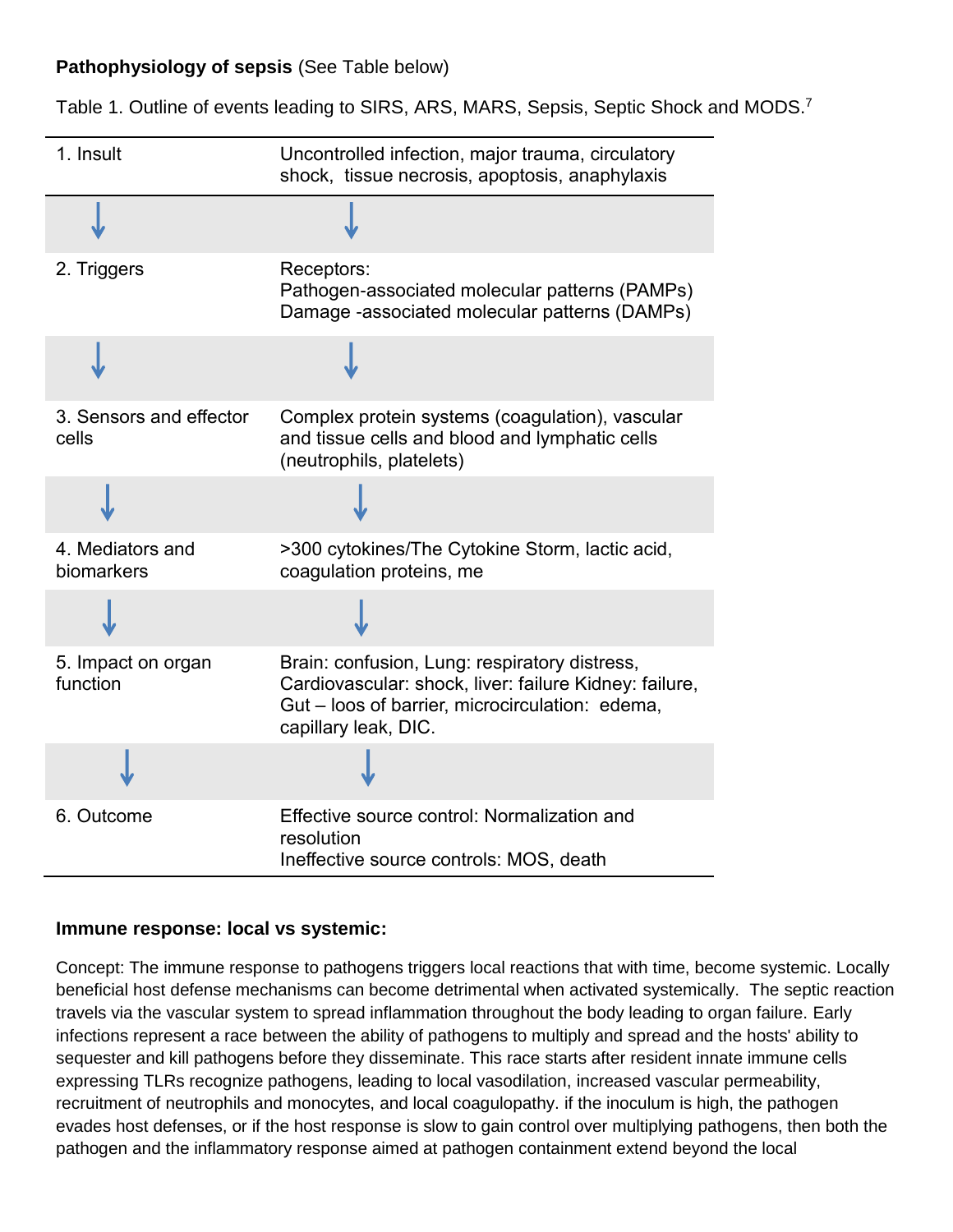### **Pathophysiology of sepsis** (See Table below)

Table 1. Outline of events leading to SIRS, ARS, MARS, Sepsis, Septic Shock and MODS.<sup>7</sup>

| 1. Insult                        | Uncontrolled infection, major trauma, circulatory<br>shock, tissue necrosis, apoptosis, anaphylaxis                                                                                |
|----------------------------------|------------------------------------------------------------------------------------------------------------------------------------------------------------------------------------|
|                                  |                                                                                                                                                                                    |
| 2. Triggers                      | Receptors:<br>Pathogen-associated molecular patterns (PAMPs)<br>Damage -associated molecular patterns (DAMPs)                                                                      |
|                                  |                                                                                                                                                                                    |
| 3. Sensors and effector<br>cells | Complex protein systems (coagulation), vascular<br>and tissue cells and blood and lymphatic cells<br>(neutrophils, platelets)                                                      |
|                                  |                                                                                                                                                                                    |
| 4. Mediators and<br>biomarkers   | >300 cytokines/The Cytokine Storm, lactic acid,<br>coagulation proteins, me                                                                                                        |
|                                  |                                                                                                                                                                                    |
| 5. Impact on organ<br>function   | Brain: confusion, Lung: respiratory distress,<br>Cardiovascular: shock, liver: failure Kidney: failure,<br>Gut - loos of barrier, microcirculation: edema,<br>capillary leak, DIC. |
|                                  |                                                                                                                                                                                    |
| 6. Outcome                       | Effective source control: Normalization and<br>resolution<br>Ineffective source controls: MOS, death                                                                               |

### **Immune response: local vs systemic:**

Concept: The immune response to pathogens triggers local reactions that with time, become systemic. Locally beneficial host defense mechanisms can become detrimental when activated systemically. The septic reaction travels via the vascular system to spread inflammation throughout the body leading to organ failure. Early infections represent a race between the ability of pathogens to multiply and spread and the hosts' ability to sequester and kill pathogens before they disseminate. This race starts after resident innate immune cells expressing TLRs recognize pathogens, leading to local vasodilation, increased vascular permeability, recruitment of neutrophils and monocytes, and local coagulopathy. if the inoculum is high, the pathogen evades host defenses, or if the host response is slow to gain control over multiplying pathogens, then both the pathogen and the inflammatory response aimed at pathogen containment extend beyond the local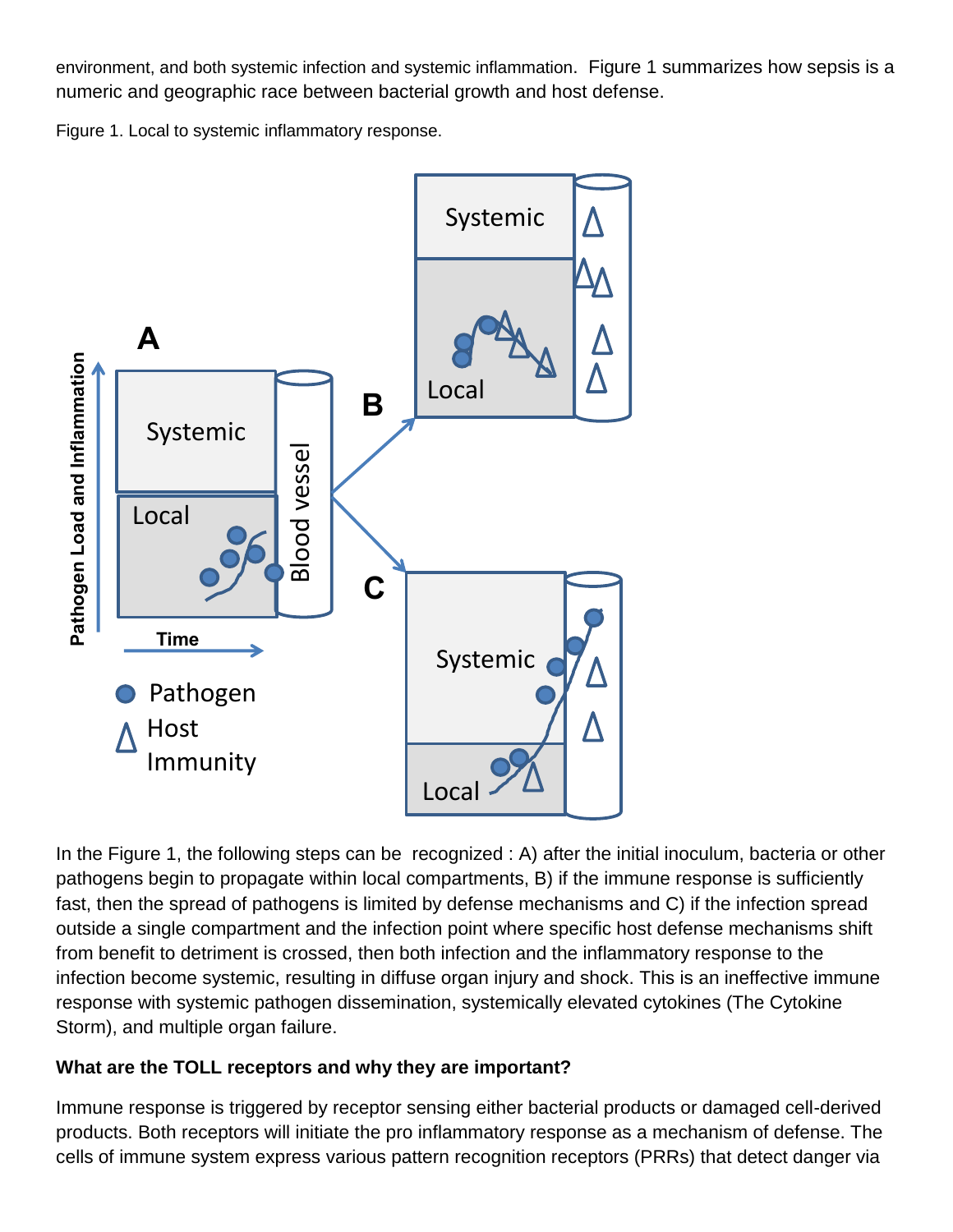environment, and both systemic infection and systemic inflammation. Figure 1 summarizes how sepsis is a numeric and geographic race between bacterial growth and host defense.

Figure 1. Local to systemic inflammatory response.



In the Figure 1, the following steps can be recognized : A) after the initial inoculum, bacteria or other pathogens begin to propagate within local compartments, B) if the immune response is sufficiently fast, then the spread of pathogens is limited by defense mechanisms and C) if the infection spread outside a single compartment and the infection point where specific host defense mechanisms shift from benefit to detriment is crossed, then both infection and the inflammatory response to the infection become systemic, resulting in diffuse organ injury and shock. This is an ineffective immune response with systemic pathogen dissemination, systemically elevated cytokines (The Cytokine Storm), and multiple organ failure.

### **What are the TOLL receptors and why they are important?**

Immune response is triggered by receptor sensing either bacterial products or damaged cell-derived products. Both receptors will initiate the pro inflammatory response as a mechanism of defense. The cells of immune system express various pattern recognition receptors (PRRs) that detect danger via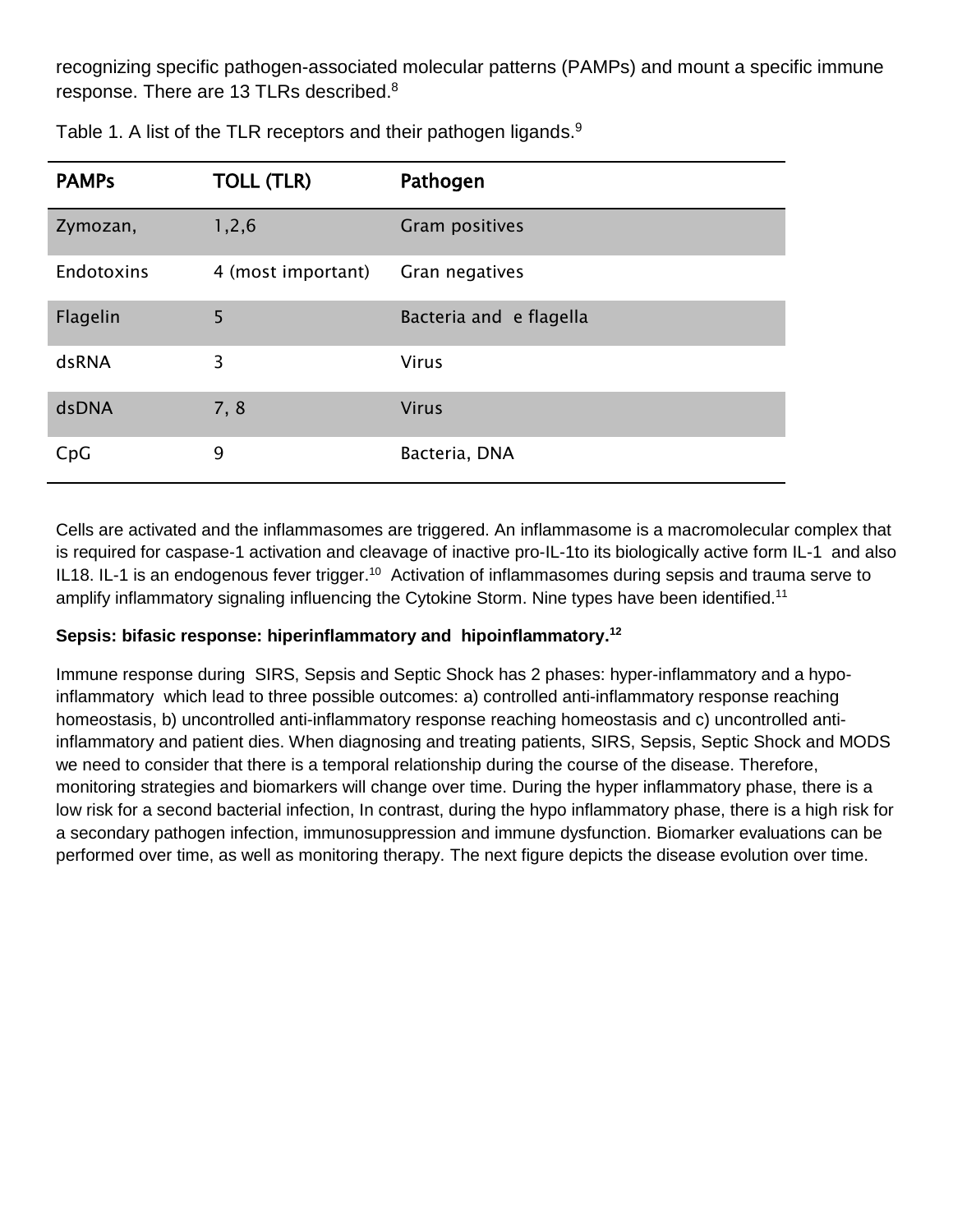recognizing specific pathogen-associated molecular patterns (PAMPs) and mount a specific immune response. There are 13 TLRs described.<sup>8</sup>

| <b>PAMPs</b> | <b>TOLL (TLR)</b>  | Pathogen                |
|--------------|--------------------|-------------------------|
| Zymozan,     | 1, 2, 6            | Gram positives          |
| Endotoxins   | 4 (most important) | Gran negatives          |
| Flagelin     | 5                  | Bacteria and e flagella |
| dsRNA        | 3                  | <b>Virus</b>            |
| dsDNA        | 7, 8               | <b>Virus</b>            |
| CpG          | 9                  | Bacteria, DNA           |

Table 1. A list of the TLR receptors and their pathogen ligands.<sup>9</sup>

Cells are activated and the inflammasomes are triggered. An inflammasome is a macromolecular complex that is required for caspase-1 activation and cleavage of inactive pro-IL-1to its biologically active form IL-1 and also IL18. IL-1 is an endogenous fever trigger.<sup>10</sup> Activation of inflammasomes during sepsis and trauma serve to amplify inflammatory signaling influencing the Cytokine Storm. Nine types have been identified.<sup>11</sup>

#### **Sepsis: bifasic response: hiperinflammatory and hipoinflammatory. 12**

Immune response during SIRS, Sepsis and Septic Shock has 2 phases: hyper-inflammatory and a hypoinflammatory which lead to three possible outcomes: a) controlled anti-inflammatory response reaching homeostasis, b) uncontrolled anti-inflammatory response reaching homeostasis and c) uncontrolled antiinflammatory and patient dies. When diagnosing and treating patients, SIRS, Sepsis, Septic Shock and MODS we need to consider that there is a temporal relationship during the course of the disease. Therefore, monitoring strategies and biomarkers will change over time. During the hyper inflammatory phase, there is a low risk for a second bacterial infection, In contrast, during the hypo inflammatory phase, there is a high risk for a secondary pathogen infection, immunosuppression and immune dysfunction. Biomarker evaluations can be performed over time, as well as monitoring therapy. The next figure depicts the disease evolution over time.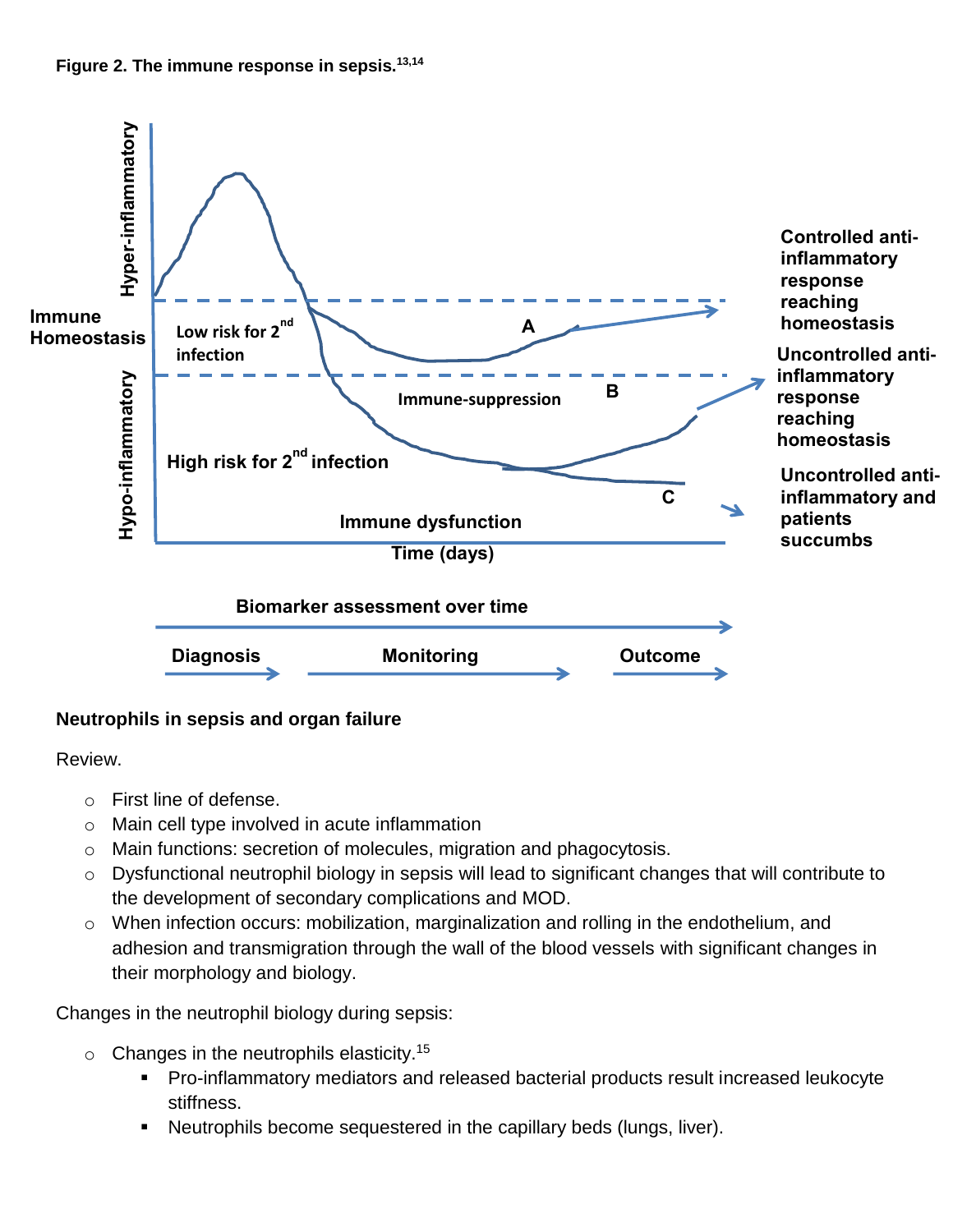



### **Neutrophils in sepsis and organ failure**

Review.

- o First line of defense.
- o Main cell type involved in acute inflammation
- o Main functions: secretion of molecules, migration and phagocytosis.
- o Dysfunctional neutrophil biology in sepsis will lead to significant changes that will contribute to the development of secondary complications and MOD.
- o When infection occurs: mobilization, marginalization and rolling in the endothelium, and adhesion and transmigration through the wall of the blood vessels with significant changes in their morphology and biology.

Changes in the neutrophil biology during sepsis:

- $\circ$  Changes in the neutrophils elasticity.<sup>15</sup>
	- Pro-inflammatory mediators and released bacterial products result increased leukocyte stiffness.
	- Neutrophils become sequestered in the capillary beds (lungs, liver).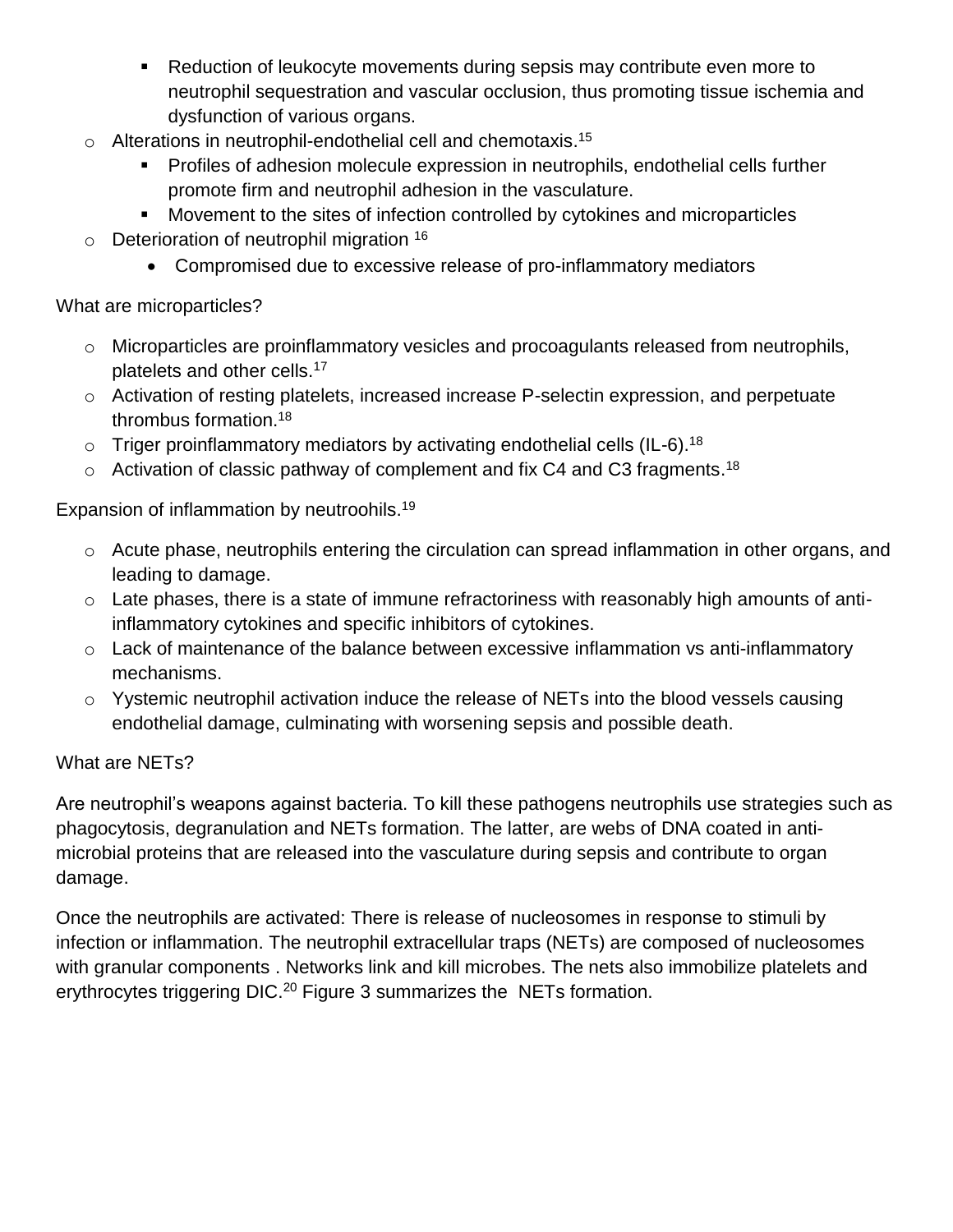- Reduction of leukocyte movements during sepsis may contribute even more to neutrophil sequestration and vascular occlusion, thus promoting tissue ischemia and dysfunction of various organs.
- $\circ$  Alterations in neutrophil-endothelial cell and chemotaxis.<sup>15</sup>
	- Profiles of adhesion molecule expression in neutrophils, endothelial cells further promote firm and neutrophil adhesion in the vasculature.
	- Movement to the sites of infection controlled by cytokines and microparticles
- $\circ$  Deterioration of neutrophil migration  $16$ 
	- Compromised due to excessive release of pro-inflammatory mediators

# What are microparticles?

- o Microparticles are proinflammatory vesicles and procoagulants released from neutrophils, platelets and other cells.<sup>17</sup>
- o Activation of resting platelets, increased increase P-selectin expression, and perpetuate thrombus formation.<sup>18</sup>
- $\circ$  Triger proinflammatory mediators by activating endothelial cells (IL-6).<sup>18</sup>
- $\circ$  Activation of classic pathway of complement and fix C4 and C3 fragments.<sup>18</sup>

Expansion of inflammation by neutroohils.<sup>19</sup>

- o Acute phase, neutrophils entering the circulation can spread inflammation in other organs, and leading to damage.
- $\circ$  Late phases, there is a state of immune refractoriness with reasonably high amounts of antiinflammatory cytokines and specific inhibitors of cytokines.
- o Lack of maintenance of the balance between excessive inflammation vs anti-inflammatory mechanisms.
- o Yystemic neutrophil activation induce the release of NETs into the blood vessels causing endothelial damage, culminating with worsening sepsis and possible death.

# What are NETs?

Are neutrophil's weapons against bacteria. To kill these pathogens neutrophils use strategies such as phagocytosis, degranulation and NETs formation. The latter, are webs of DNA coated in antimicrobial proteins that are released into the vasculature during sepsis and contribute to organ damage.

Once the neutrophils are activated: There is release of nucleosomes in response to stimuli by infection or inflammation. The neutrophil extracellular traps (NETs) are composed of nucleosomes with granular components . Networks link and kill microbes. The nets also immobilize platelets and erythrocytes triggering DIC.<sup>20</sup> Figure 3 summarizes the NETs formation.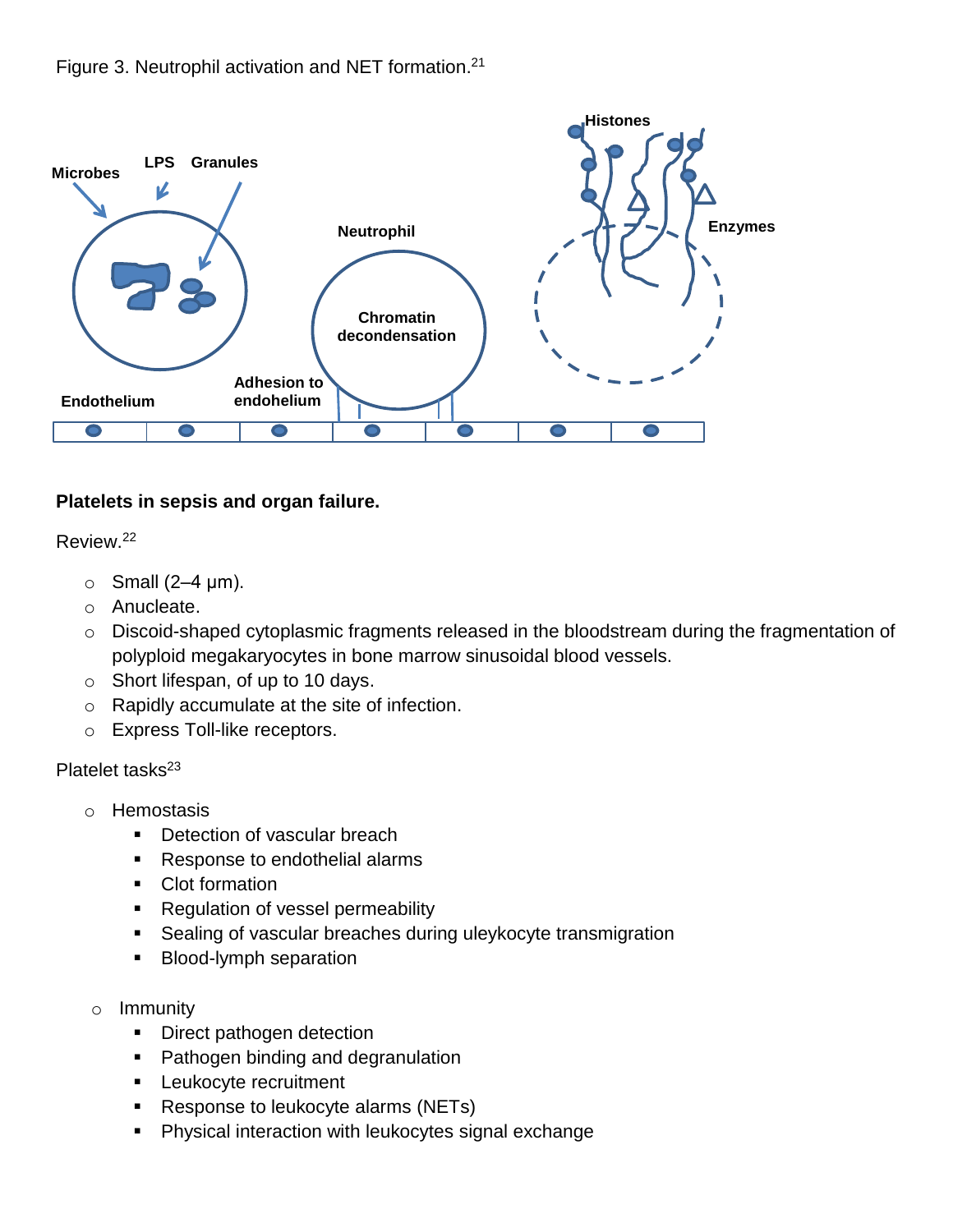

### **Platelets in sepsis and organ failure.**

#### Review. 22

- $\circ$  Small (2–4  $\mu$ m).
- o Anucleate.
- o Discoid-shaped cytoplasmic fragments released in the bloodstream during the fragmentation of polyploid megakaryocytes in bone marrow sinusoidal blood vessels.
- o Short lifespan, of up to 10 days.
- o Rapidly accumulate at the site of infection.
- o Express Toll-like receptors.

#### Platelet tasks<sup>23</sup>

- o Hemostasis
	- Detection of vascular breach
	- **Response to endothelial alarms**
	- Clot formation
	- Regulation of vessel permeability
	- **Sealing of vascular breaches during uleykocyte transmigration**
	- **Blood-lymph separation**
- o Immunity
	- Direct pathogen detection
	- **Pathogen binding and degranulation**
	- **Leukocyte recruitment**
	- **Response to leukocyte alarms (NETs)**
	- **Physical interaction with leukocytes signal exchange**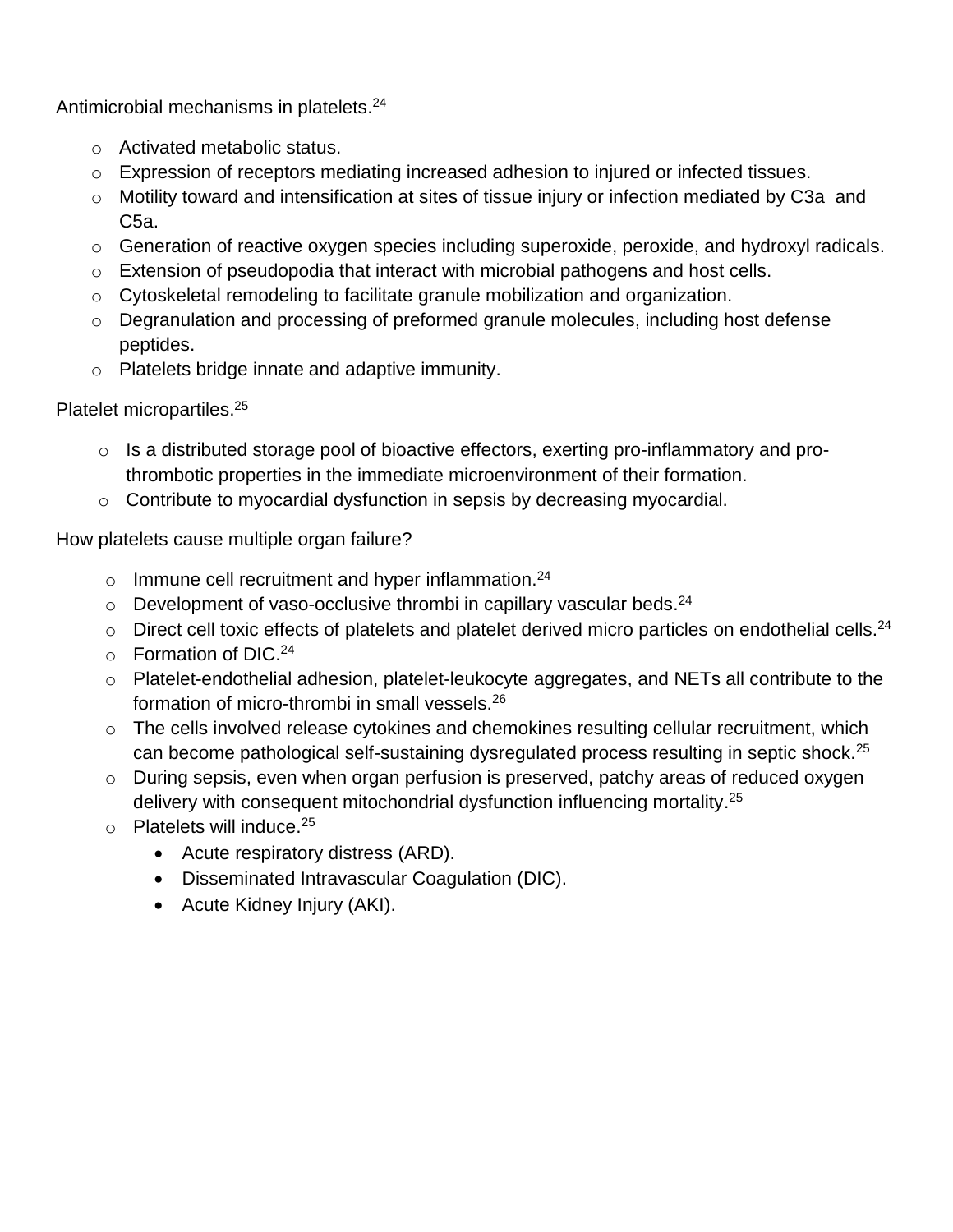Antimicrobial mechanisms in platelets.<sup>24</sup>

- o Activated metabolic status.
- o Expression of receptors mediating increased adhesion to injured or infected tissues.
- o Motility toward and intensification at sites of tissue injury or infection mediated by C3a and C5a.
- o Generation of reactive oxygen species including superoxide, peroxide, and hydroxyl radicals.
- $\circ$  Extension of pseudopodia that interact with microbial pathogens and host cells.
- o Cytoskeletal remodeling to facilitate granule mobilization and organization.
- o Degranulation and processing of preformed granule molecules, including host defense peptides.
- o Platelets bridge innate and adaptive immunity.

### Platelet micropartiles. 25

- o Is a distributed storage pool of bioactive effectors, exerting pro-inflammatory and prothrombotic properties in the immediate microenvironment of their formation.
- o Contribute to myocardial dysfunction in sepsis by decreasing myocardial.

How platelets cause multiple organ failure?

- $\circ$  Immune cell recruitment and hyper inflammation.<sup>24</sup>
- $\circ$  Development of vaso-occlusive thrombi in capillary vascular beds.<sup>24</sup>
- $\circ$  Direct cell toxic effects of platelets and platelet derived micro particles on endothelial cells.<sup>24</sup>
- o Formation of DIC.<sup>24</sup>
- o Platelet-endothelial adhesion, platelet-leukocyte aggregates, and NETs all contribute to the formation of micro-thrombi in small vessels.<sup>26</sup>
- o The cells involved release cytokines and chemokines resulting cellular recruitment, which can become pathological self-sustaining dysregulated process resulting in septic shock.<sup>25</sup>
- o During sepsis, even when organ perfusion is preserved, patchy areas of reduced oxygen delivery with consequent mitochondrial dysfunction influencing mortality.<sup>25</sup>
- o Platelets will induce.<sup>25</sup>
	- Acute respiratory distress (ARD).
	- Disseminated Intravascular Coagulation (DIC).
	- Acute Kidney Injury (AKI).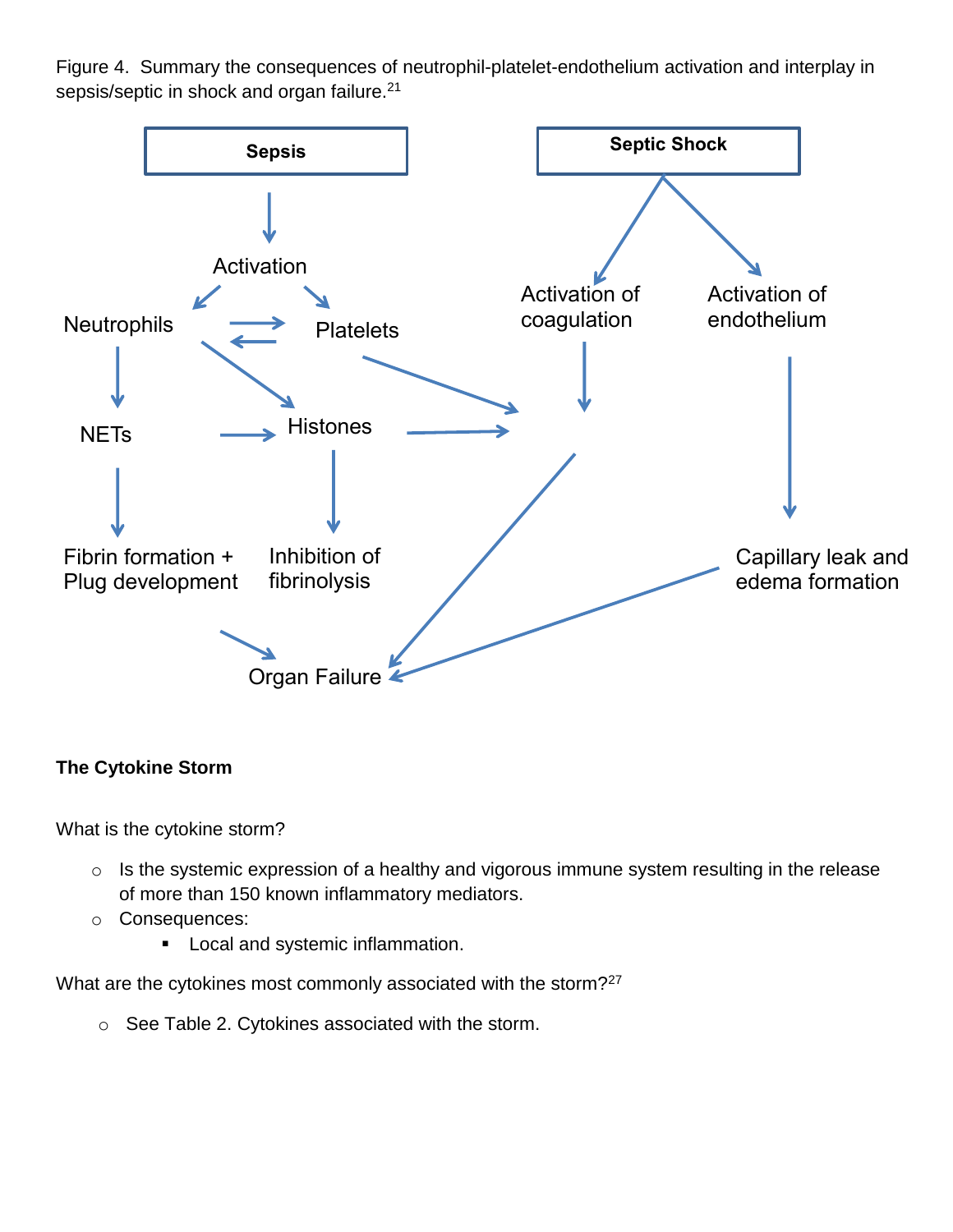Figure 4. Summary the consequences of neutrophil-platelet-endothelium activation and interplay in sepsis/septic in shock and organ failure.<sup>21</sup>



## **The Cytokine Storm**

What is the cytokine storm?

- o Is the systemic expression of a healthy and vigorous immune system resulting in the release of more than 150 known inflammatory mediators.
- o Consequences:
	- **Local and systemic inflammation.**

What are the cytokines most commonly associated with the storm?<sup>27</sup>

o See Table 2. Cytokines associated with the storm.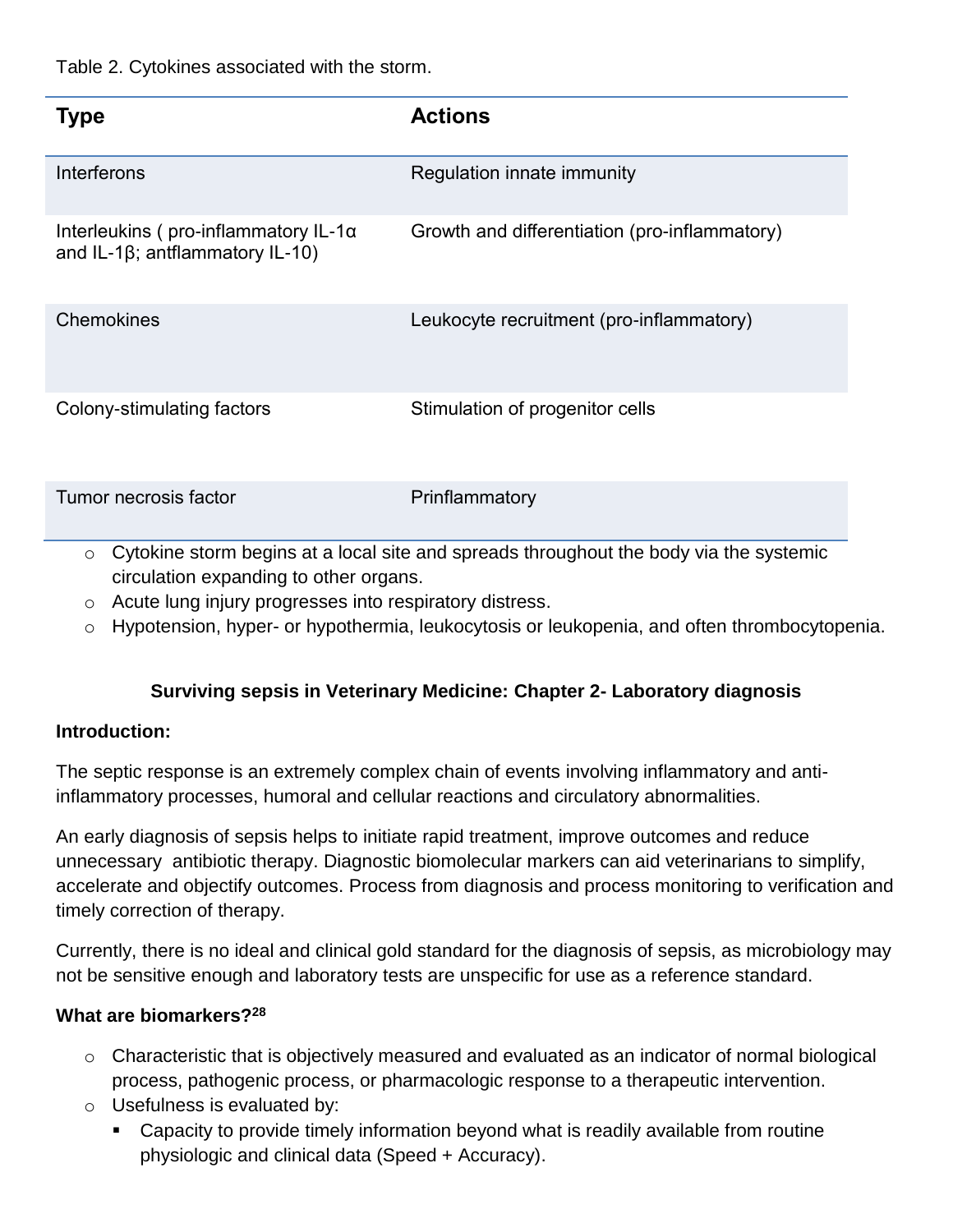Table 2. Cytokines associated with the storm.

| Type                                                                                    | <b>Actions</b>                                |
|-----------------------------------------------------------------------------------------|-----------------------------------------------|
| Interferons                                                                             | Regulation innate immunity                    |
| Interleukins (pro-inflammatory IL-1 $\alpha$<br>and IL-1 $\beta$ ; antilammatory IL-10) | Growth and differentiation (pro-inflammatory) |
| Chemokines                                                                              | Leukocyte recruitment (pro-inflammatory)      |
| Colony-stimulating factors                                                              | Stimulation of progenitor cells               |
| Tumor necrosis factor                                                                   | Prinflammatory                                |

 $\circ$  Cytokine storm begins at a local site and spreads throughout the body via the systemic circulation expanding to other organs.

- o Acute lung injury progresses into respiratory distress.
- o Hypotension, hyper- or hypothermia, leukocytosis or leukopenia, and often thrombocytopenia.

## **Surviving sepsis in Veterinary Medicine: Chapter 2- Laboratory diagnosis**

#### **Introduction:**

The septic response is an extremely complex chain of events involving inflammatory and antiinflammatory processes, humoral and cellular reactions and circulatory abnormalities.

An early diagnosis of sepsis helps to initiate rapid treatment, improve outcomes and reduce unnecessary antibiotic therapy. Diagnostic biomolecular markers can aid veterinarians to simplify, accelerate and objectify outcomes. Process from diagnosis and process monitoring to verification and timely correction of therapy.

Currently, there is no ideal and clinical gold standard for the diagnosis of sepsis, as microbiology may not be sensitive enough and laboratory tests are unspecific for use as a reference standard.

### **What are biomarkers?<sup>28</sup>**

- o Characteristic that is objectively measured and evaluated as an indicator of normal biological process, pathogenic process, or pharmacologic response to a therapeutic intervention.
- $\circ$  Usefulness is evaluated by:
	- Capacity to provide timely information beyond what is readily available from routine physiologic and clinical data (Speed + Accuracy).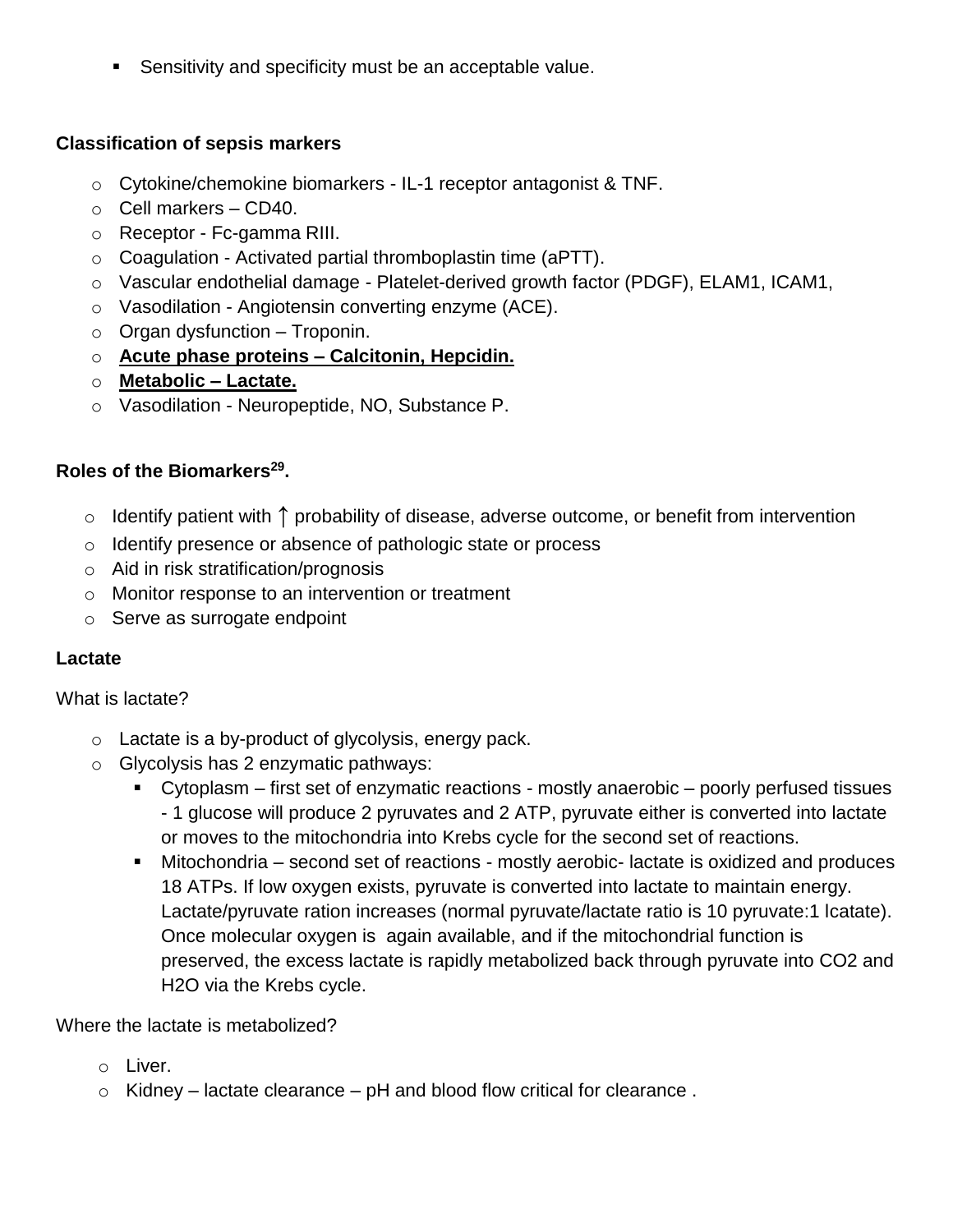**Sensitivity and specificity must be an acceptable value.** 

### **Classification of sepsis markers**

- o Cytokine/chemokine biomarkers IL-1 receptor antagonist & TNF.
- $\circ$  Cell markers CD40.
- o Receptor Fc-gamma RIII.
- $\circ$  Coagulation Activated partial thromboplastin time (aPTT).
- o Vascular endothelial damage Platelet-derived growth factor (PDGF), ELAM1, ICAM1,
- o Vasodilation Angiotensin converting enzyme (ACE).
- $\circ$  Organ dysfunction Troponin.
- o **Acute phase proteins – Calcitonin, Hepcidin.**
- o **Metabolic – Lactate.**
- o Vasodilation Neuropeptide, NO, Substance P.

## **Roles of the Biomarkers<sup>29</sup> .**

- o Identify patient with **↑** probability of disease, adverse outcome, or benefit from intervention
- o Identify presence or absence of pathologic state or process
- o Aid in risk stratification/prognosis
- o Monitor response to an intervention or treatment
- o Serve as surrogate endpoint

## **Lactate**

### What is lactate?

- o Lactate is a by-product of glycolysis, energy pack.
- o Glycolysis has 2 enzymatic pathways:
	- Cytoplasm first set of enzymatic reactions mostly anaerobic poorly perfused tissues - 1 glucose will produce 2 pyruvates and 2 ATP, pyruvate either is converted into lactate or moves to the mitochondria into Krebs cycle for the second set of reactions.
	- Mitochondria second set of reactions mostly aerobic- lactate is oxidized and produces 18 ATPs. If low oxygen exists, pyruvate is converted into lactate to maintain energy. Lactate/pyruvate ration increases (normal pyruvate/lactate ratio is 10 pyruvate:1 lcatate). Once molecular oxygen is again available, and if the mitochondrial function is preserved, the excess lactate is rapidly metabolized back through pyruvate into CO2 and H2O via the Krebs cycle.

## Where the lactate is metabolized?

- o Liver.
- $\circ$  Kidney lactate clearance pH and blood flow critical for clearance.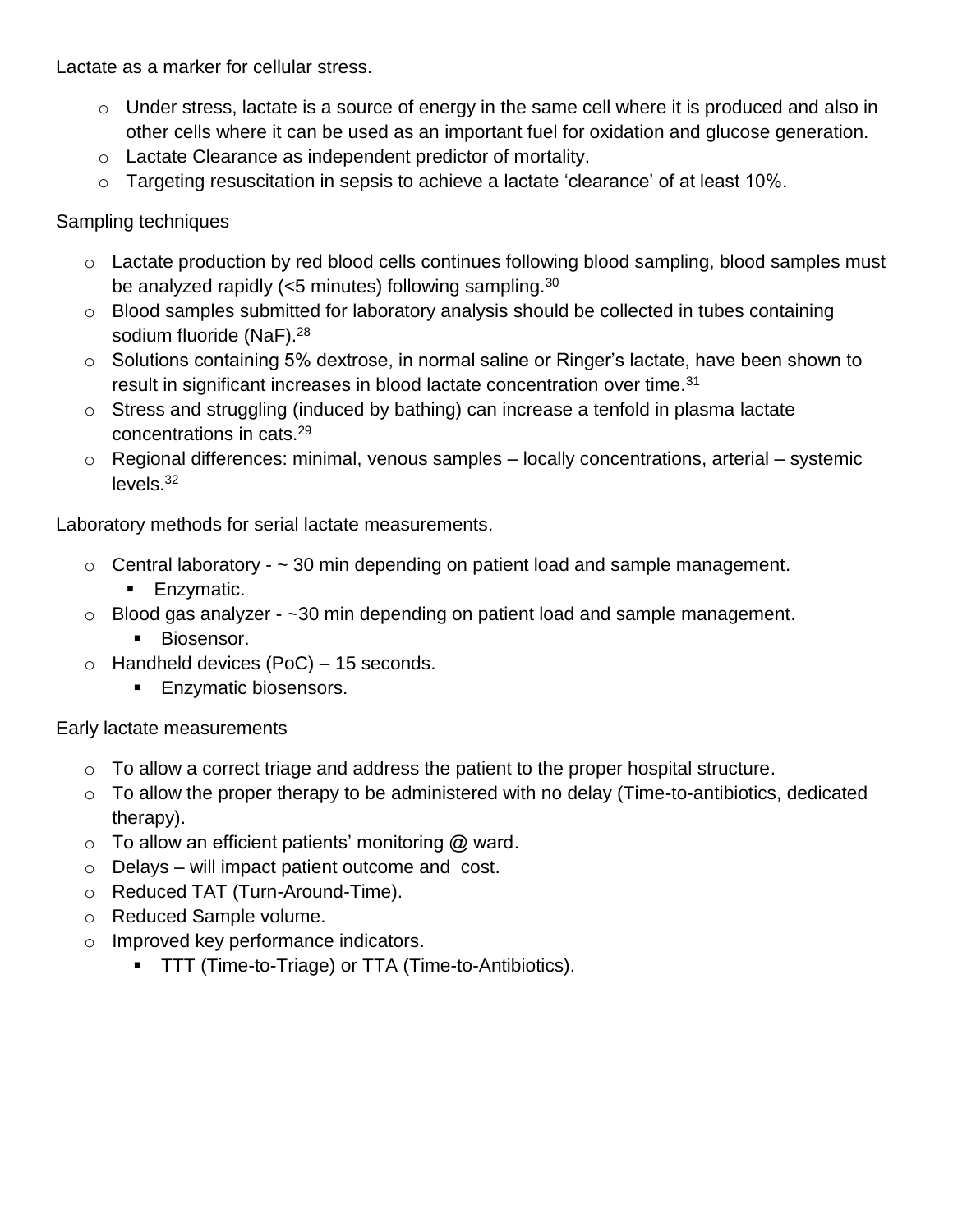Lactate as a marker for cellular stress.

- o Under stress, lactate is a source of energy in the same cell where it is produced and also in other cells where it can be used as an important fuel for oxidation and glucose generation.
- o Lactate Clearance as independent predictor of mortality.
- o Targeting resuscitation in sepsis to achieve a lactate 'clearance' of at least 10%.

Sampling techniques

- o Lactate production by red blood cells continues following blood sampling, blood samples must be analyzed rapidly (<5 minutes) following sampling.<sup>30</sup>
- o Blood samples submitted for laboratory analysis should be collected in tubes containing sodium fluoride (NaF).<sup>28</sup>
- o Solutions containing 5% dextrose, in normal saline or Ringer's lactate, have been shown to result in significant increases in blood lactate concentration over time.<sup>31</sup>
- o Stress and struggling (induced by bathing) can increase a tenfold in plasma lactate concentrations in cats.<sup>29</sup>
- o Regional differences: minimal, venous samples locally concentrations, arterial systemic levels. 32

Laboratory methods for serial lactate measurements.

- $\circ$  Central laboratory  $\sim$  30 min depending on patient load and sample management. **Enzymatic.**
- $\circ$  Blood gas analyzer ~30 min depending on patient load and sample management. **Biosensor.**
- $\circ$  Handheld devices (PoC) 15 seconds.
	- **Enzymatic biosensors.**

Early lactate measurements

- $\circ$  To allow a correct triage and address the patient to the proper hospital structure.
- $\circ$  To allow the proper therapy to be administered with no delay (Time-to-antibiotics, dedicated therapy).
- $\circ$  To allow an efficient patients' monitoring  $\omega$  ward.
- o Delays will impact patient outcome and cost.
- o Reduced TAT (Turn-Around-Time).
- o Reduced Sample volume.
- o Improved key performance indicators.
	- **TTT (Time-to-Triage) or TTA (Time-to-Antibiotics).**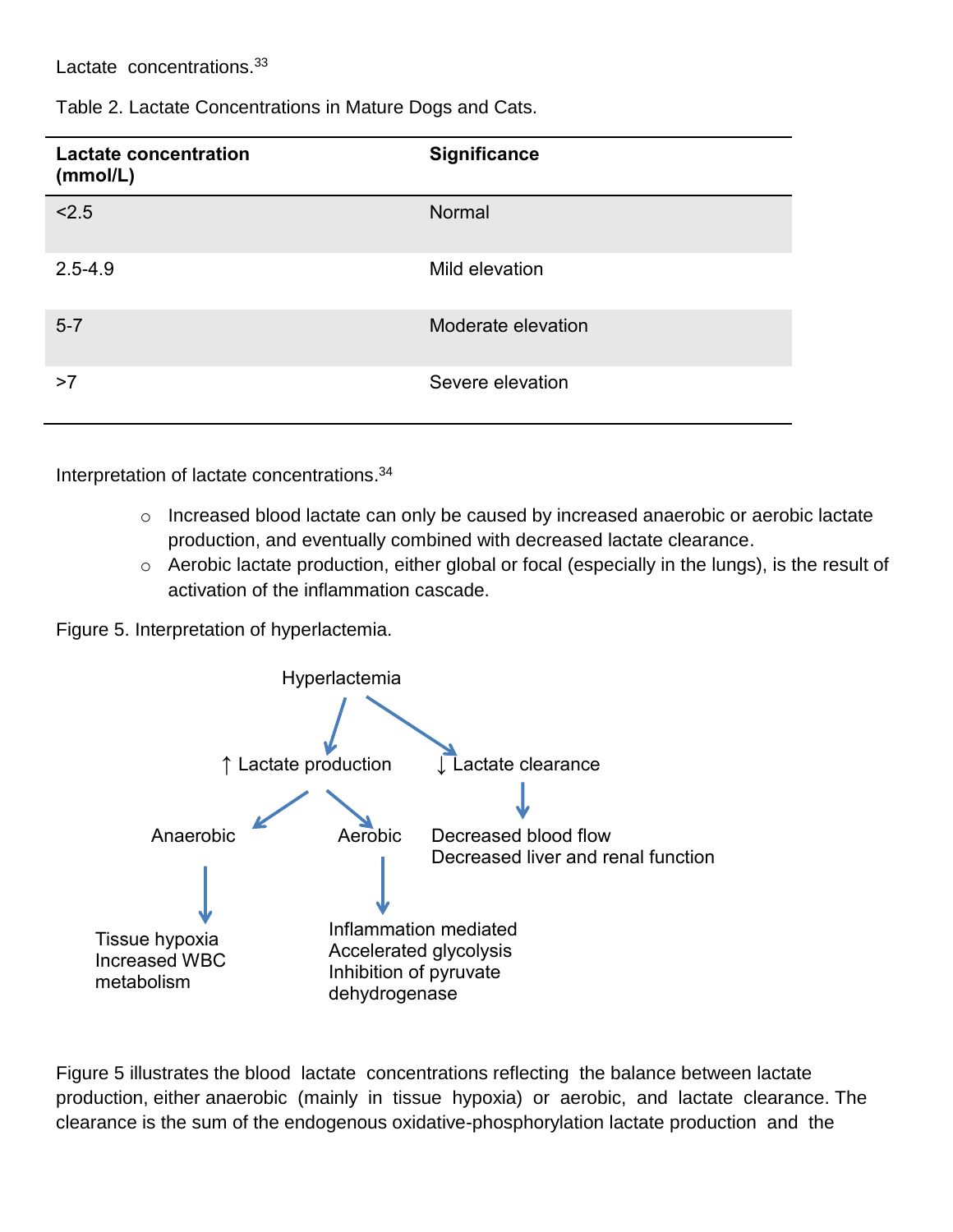Lactate concentrations.<sup>33</sup>

Table 2. Lactate Concentrations in Mature Dogs and Cats.

| <b>Lactate concentration</b><br>(mmol/L) | Significance       |
|------------------------------------------|--------------------|
| < 2.5                                    | Normal             |
| $2.5 - 4.9$                              | Mild elevation     |
| $5 - 7$                                  | Moderate elevation |
| >7                                       | Severe elevation   |

Interpretation of lactate concentrations. 34

- o Increased blood lactate can only be caused by increased anaerobic or aerobic lactate production, and eventually combined with decreased lactate clearance.
- o Aerobic lactate production, either global or focal (especially in the lungs), is the result of activation of the inflammation cascade.

Figure 5. Interpretation of hyperlactemia.



Figure 5 illustrates the blood lactate concentrations reflecting the balance between lactate production, either anaerobic (mainly in tissue hypoxia) or aerobic, and lactate clearance. The clearance is the sum of the endogenous oxidative-phosphorylation lactate production and the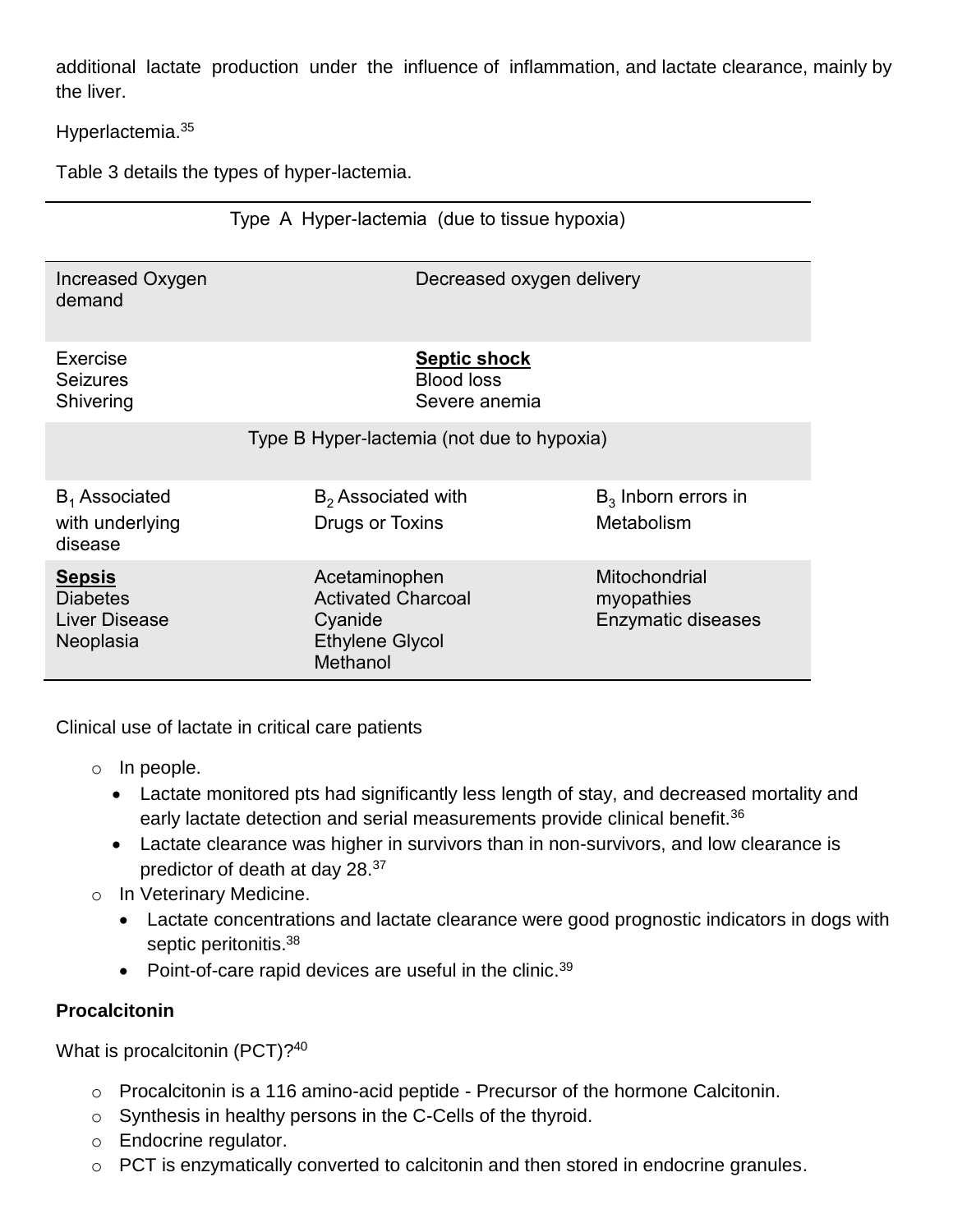additional lactate production under the influence of inflammation, and lactate clearance, mainly by the liver.

Hyperlactemia.<sup>35</sup>

Table 3 details the types of hyper-lactemia.

|                                                                       | Type A Hyper-lactemia (due to tissue hypoxia)                                               |                                                   |
|-----------------------------------------------------------------------|---------------------------------------------------------------------------------------------|---------------------------------------------------|
| Increased Oxygen<br>demand                                            | Decreased oxygen delivery                                                                   |                                                   |
| Exercise<br><b>Seizures</b><br>Shivering                              | <b>Septic shock</b><br><b>Blood loss</b><br>Severe anemia                                   |                                                   |
| Type B Hyper-lactemia (not due to hypoxia)                            |                                                                                             |                                                   |
| $B_1$ Associated<br>with underlying<br>disease                        | $B_2$ Associated with<br>Drugs or Toxins                                                    | $B_3$ Inborn errors in<br>Metabolism              |
| <u>Sepsis</u><br><b>Diabetes</b><br><b>Liver Disease</b><br>Neoplasia | Acetaminophen<br><b>Activated Charcoal</b><br>Cyanide<br><b>Ethylene Glycol</b><br>Methanol | Mitochondrial<br>myopathies<br>Enzymatic diseases |

Clinical use of lactate in critical care patients

- o In people.
	- Lactate monitored pts had significantly less length of stay, and decreased mortality and early lactate detection and serial measurements provide clinical benefit.<sup>36</sup>
	- Lactate clearance was higher in survivors than in non-survivors, and low clearance is predictor of death at day 28.<sup>37</sup>
- o In Veterinary Medicine.
	- Lactate concentrations and lactate clearance were good prognostic indicators in dogs with septic peritonitis.<sup>38</sup>
	- Point-of-care rapid devices are useful in the clinic.<sup>39</sup>

## **Procalcitonin**

What is procalcitonin (PCT)?<sup>40</sup>

- o Procalcitonin is a 116 amino-acid peptide Precursor of the hormone Calcitonin.
- o Synthesis in healthy persons in the C-Cells of the thyroid.
- o Endocrine regulator.
- o PCT is enzymatically converted to calcitonin and then stored in endocrine granules.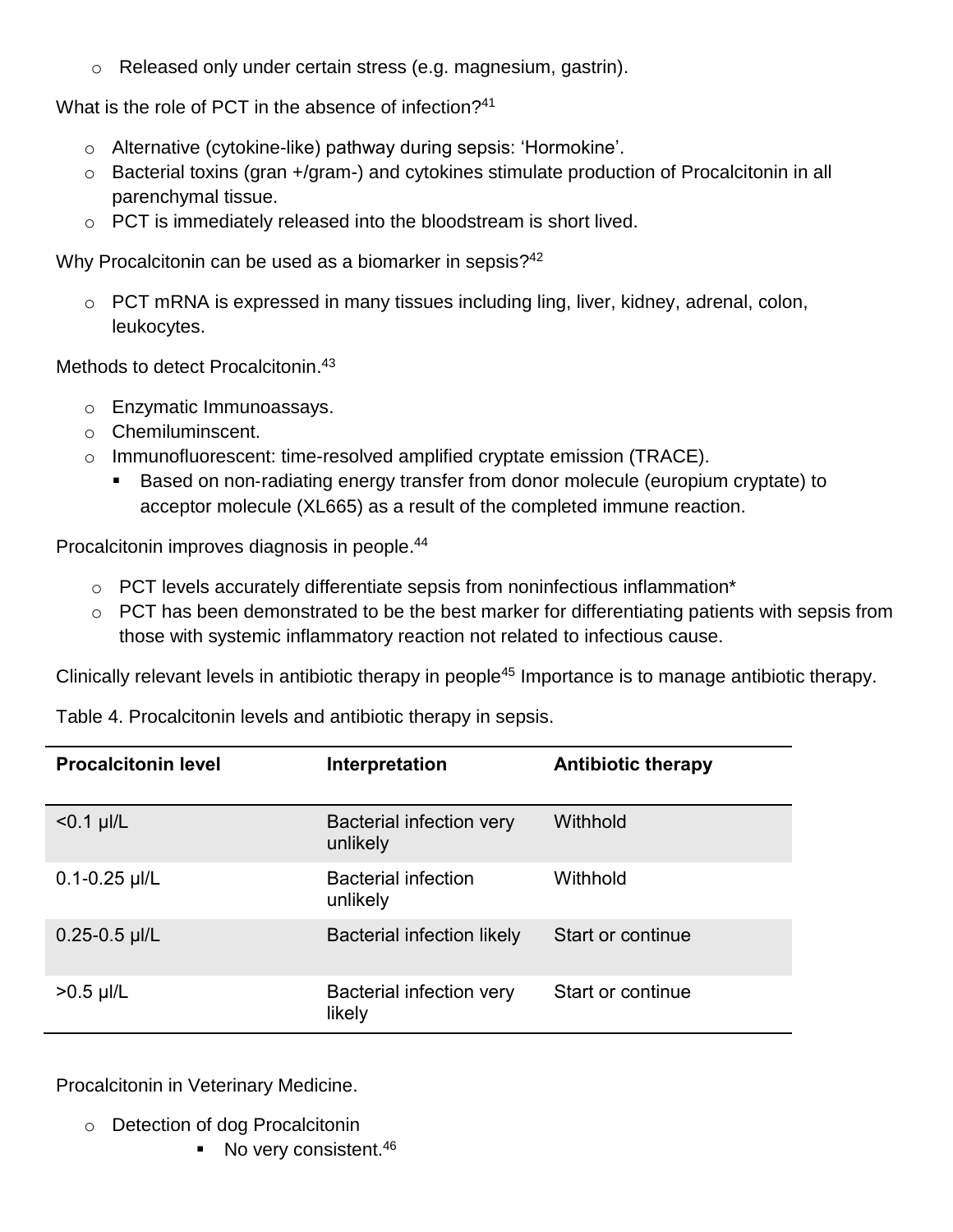o Released only under certain stress (e.g. magnesium, gastrin).

What is the role of PCT in the absence of infection? 41

- o Alternative (cytokine-like) pathway during sepsis: 'Hormokine'.
- o Bacterial toxins (gran +/gram-) and cytokines stimulate production of Procalcitonin in all parenchymal tissue.
- $\circ$  PCT is immediately released into the bloodstream is short lived.

Why Procalcitonin can be used as a biomarker in sepsis?<sup>42</sup>

o PCT mRNA is expressed in many tissues including ling, liver, kidney, adrenal, colon, leukocytes.

Methods to detect Procalcitonin.<sup>43</sup>

- o Enzymatic Immunoassays.
- o Chemiluminscent.
- o Immunofluorescent: time-resolved amplified cryptate emission (TRACE).
	- Based on non‐radiating energy transfer from donor molecule (europium cryptate) to acceptor molecule (XL665) as a result of the completed immune reaction.

Procalcitonin improves diagnosis in people. 44

- $\circ$  PCT levels accurately differentiate sepsis from noninfectious inflammation<sup>\*</sup>
- $\circ$  PCT has been demonstrated to be the best marker for differentiating patients with sepsis from those with systemic inflammatory reaction not related to infectious cause.

Clinically relevant levels in antibiotic therapy in people<sup>45</sup> Importance is to manage antibiotic therapy.

| <b>Procalcitonin level</b> | Interpretation                         | <b>Antibiotic therapy</b> |
|----------------------------|----------------------------------------|---------------------------|
| $< 0.1$ µl/L               | Bacterial infection very<br>unlikely   | Withhold                  |
| $0.1 - 0.25$ µl/L          | <b>Bacterial infection</b><br>unlikely | Withhold                  |
| $0.25 - 0.5$ µl/L          | <b>Bacterial infection likely</b>      | Start or continue         |
| $>0.5$ µl/L                | Bacterial infection very<br>likely     | Start or continue         |

Table 4. Procalcitonin levels and antibiotic therapy in sepsis.

Procalcitonin in Veterinary Medicine.

- o Detection of dog Procalcitonin
	- No very consistent.<sup>46</sup>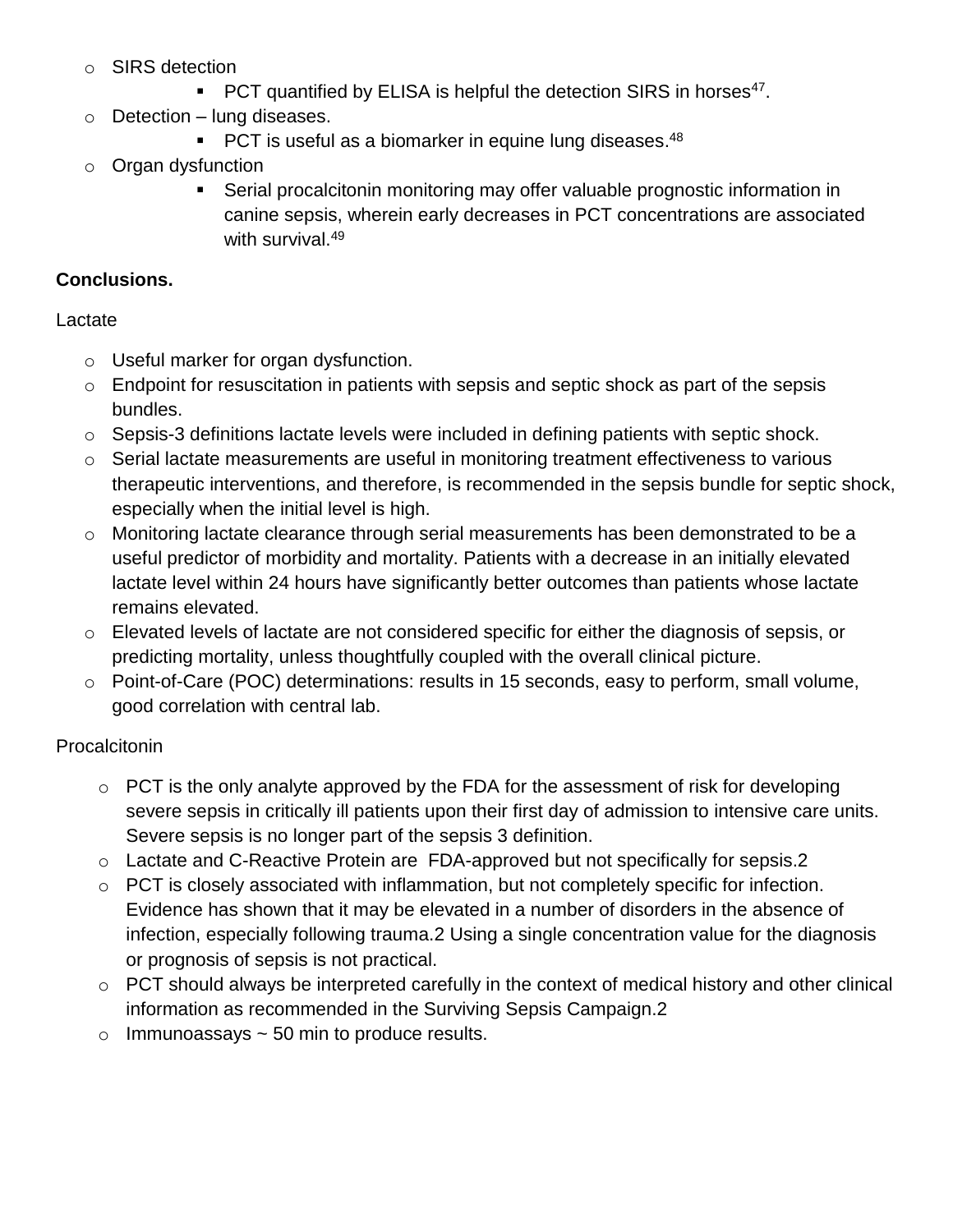- o SIRS detection
	- $\blacksquare$  PCT quantified by ELISA is helpful the detection SIRS in horses<sup>47</sup>.
- o Detection lung diseases.
	- **PCT** is useful as a biomarker in equine lung diseases. $48$
- o Organ dysfunction
	- Serial procalcitonin monitoring may offer valuable prognostic information in canine sepsis, wherein early decreases in PCT concentrations are associated with survival.<sup>49</sup>

### **Conclusions.**

### Lactate

- o Useful marker for organ dysfunction.
- o Endpoint for resuscitation in patients with sepsis and septic shock as part of the sepsis bundles.
- o Sepsis-3 definitions lactate levels were included in defining patients with septic shock.
- $\circ$  Serial lactate measurements are useful in monitoring treatment effectiveness to various therapeutic interventions, and therefore, is recommended in the sepsis bundle for septic shock, especially when the initial level is high.
- o Monitoring lactate clearance through serial measurements has been demonstrated to be a useful predictor of morbidity and mortality. Patients with a decrease in an initially elevated lactate level within 24 hours have significantly better outcomes than patients whose lactate remains elevated.
- o Elevated levels of lactate are not considered specific for either the diagnosis of sepsis, or predicting mortality, unless thoughtfully coupled with the overall clinical picture.
- o Point-of-Care (POC) determinations: results in 15 seconds, easy to perform, small volume, good correlation with central lab.

## **Procalcitonin**

- $\circ$  PCT is the only analyte approved by the FDA for the assessment of risk for developing severe sepsis in critically ill patients upon their first day of admission to intensive care units. Severe sepsis is no longer part of the sepsis 3 definition.
- o Lactate and C-Reactive Protein are FDA-approved but not specifically for sepsis.2
- o PCT is closely associated with inflammation, but not completely specific for infection. Evidence has shown that it may be elevated in a number of disorders in the absence of infection, especially following trauma.2 Using a single concentration value for the diagnosis or prognosis of sepsis is not practical.
- o PCT should always be interpreted carefully in the context of medical history and other clinical information as recommended in the Surviving Sepsis Campaign.2
- $\circ$  Immunoassays  $\sim$  50 min to produce results.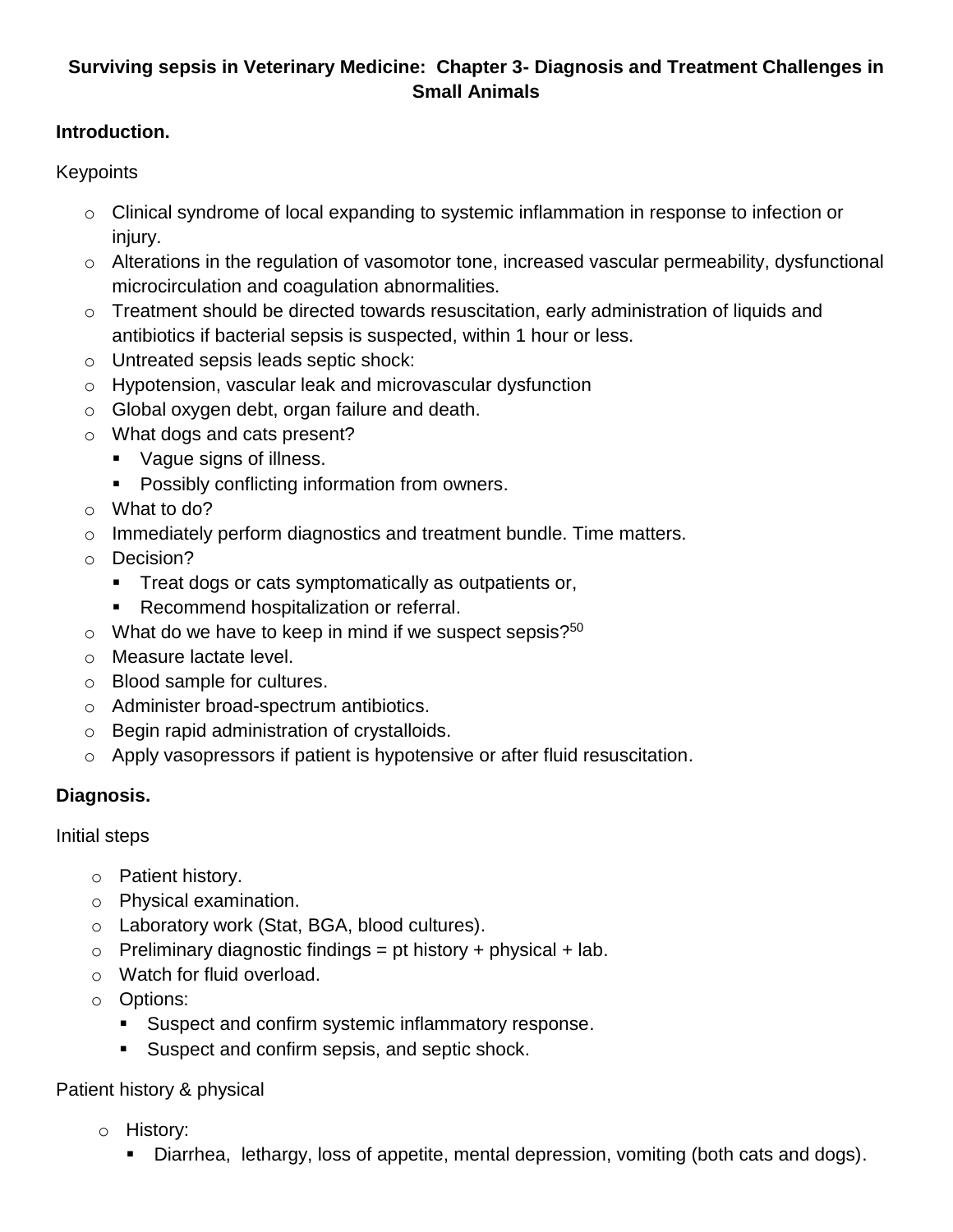# **Surviving sepsis in Veterinary Medicine: Chapter 3- Diagnosis and Treatment Challenges in Small Animals**

### **Introduction.**

Keypoints

- $\circ$  Clinical syndrome of local expanding to systemic inflammation in response to infection or injury.
- o Alterations in the regulation of vasomotor tone, increased vascular permeability, dysfunctional microcirculation and coagulation abnormalities.
- o Treatment should be directed towards resuscitation, early administration of liquids and antibiotics if bacterial sepsis is suspected, within 1 hour or less.
- o Untreated sepsis leads septic shock:
- o Hypotension, vascular leak and microvascular dysfunction
- o Global oxygen debt, organ failure and death.
- o What dogs and cats present?
	- Vague signs of illness.
	- **Possibly conflicting information from owners.**
- o What to do?
- $\circ$  Immediately perform diagnostics and treatment bundle. Time matters.
- o Decision?
	- **Treat dogs or cats symptomatically as outpatients or,**
	- Recommend hospitalization or referral.
- $\circ$  What do we have to keep in mind if we suspect sepsis?<sup>50</sup>
- o Measure lactate level.
- o Blood sample for cultures.
- o Administer broad-spectrum antibiotics.
- o Begin rapid administration of crystalloids.
- o Apply vasopressors if patient is hypotensive or after fluid resuscitation.

## **Diagnosis.**

Initial steps

- o Patient history.
- o Physical examination.
- o Laboratory work (Stat, BGA, blood cultures).
- $\circ$  Preliminary diagnostic findings = pt history + physical + lab.
- o Watch for fluid overload.
- o Options:
	- Suspect and confirm systemic inflammatory response.
	- Suspect and confirm sepsis, and septic shock.

### Patient history & physical

- o History:
	- Diarrhea, lethargy, loss of appetite, mental depression, vomiting (both cats and dogs).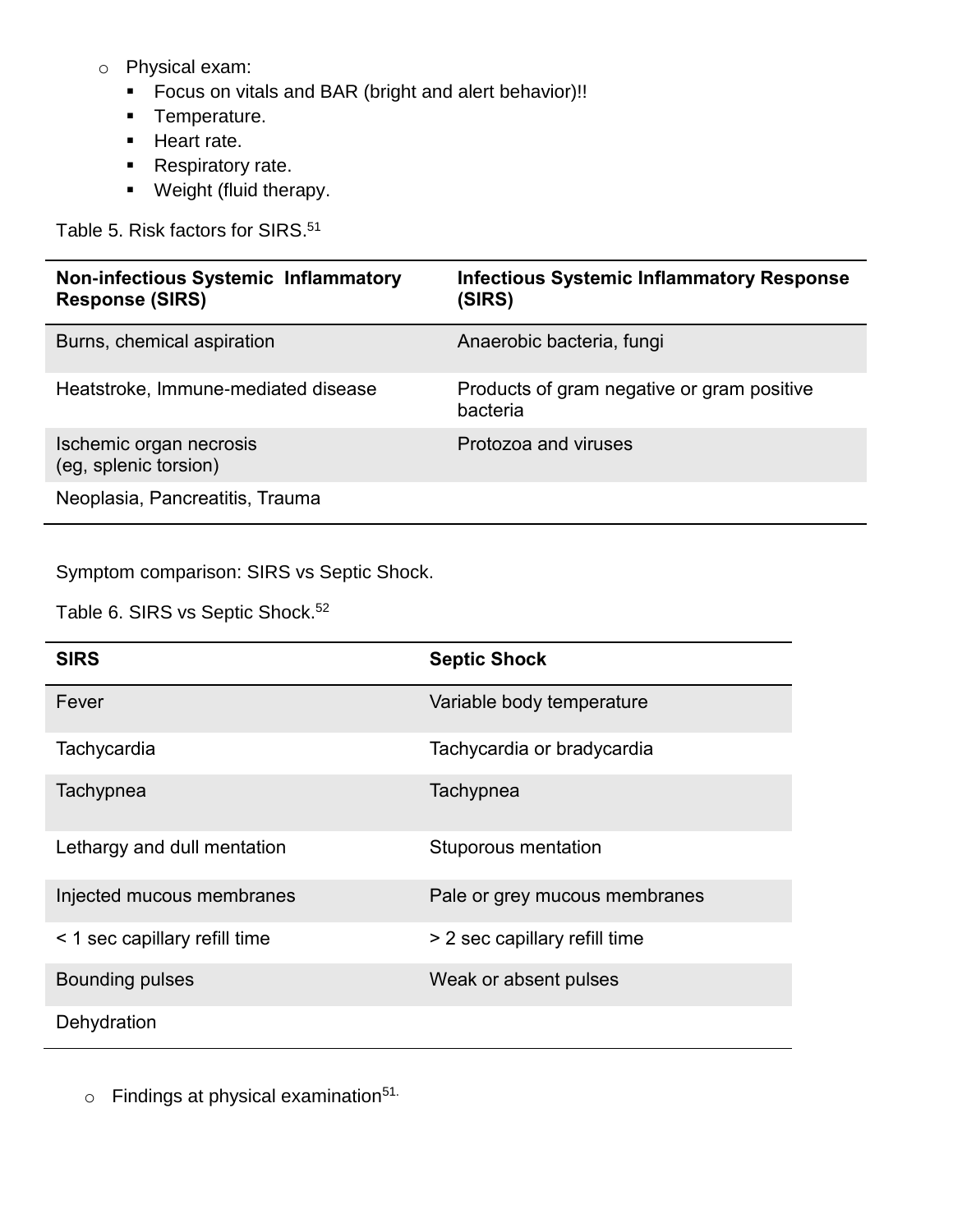- o Physical exam:
	- Focus on vitals and BAR (bright and alert behavior)!!
	- **Temperature.**
	- **Heart rate.**
	- Respiratory rate.
	- **•** Weight (fluid therapy.

Table 5. Risk factors for SIRS. 51

| <b>Non-infectious Systemic Inflammatory</b><br><b>Response (SIRS)</b> | <b>Infectious Systemic Inflammatory Response</b><br>(SIRS) |
|-----------------------------------------------------------------------|------------------------------------------------------------|
| Burns, chemical aspiration                                            | Anaerobic bacteria, fungi                                  |
| Heatstroke, Immune-mediated disease                                   | Products of gram negative or gram positive<br>bacteria     |
| Ischemic organ necrosis<br>(eg, splenic torsion)                      | Protozoa and viruses                                       |
| Neoplasia, Pancreatitis, Trauma                                       |                                                            |

Symptom comparison: SIRS vs Septic Shock.

Table 6. SIRS vs Septic Shock.<sup>52</sup>

| <b>SIRS</b>                   | <b>Septic Shock</b>           |
|-------------------------------|-------------------------------|
| Fever                         | Variable body temperature     |
| Tachycardia                   | Tachycardia or bradycardia    |
| Tachypnea                     | Tachypnea                     |
| Lethargy and dull mentation   | Stuporous mentation           |
| Injected mucous membranes     | Pale or grey mucous membranes |
| < 1 sec capillary refill time | > 2 sec capillary refill time |
| <b>Bounding pulses</b>        | Weak or absent pulses         |
| Dehydration                   |                               |

 $\circ$  Findings at physical examination<sup>51.</sup>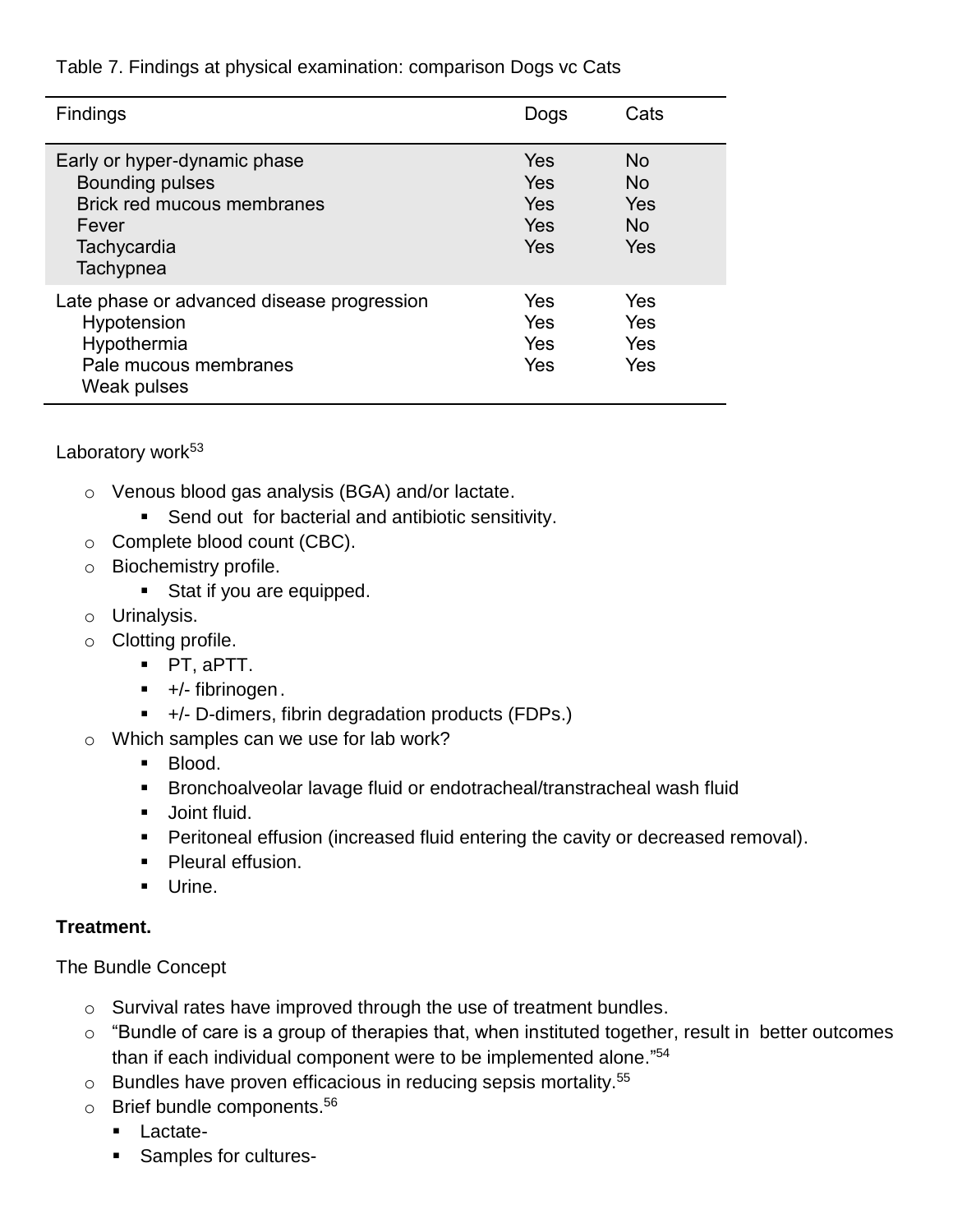Table 7. Findings at physical examination: comparison Dogs vc Cats

| <b>Findings</b>                                                                                                           | Dogs                            | Cats                            |
|---------------------------------------------------------------------------------------------------------------------------|---------------------------------|---------------------------------|
| Early or hyper-dynamic phase<br><b>Bounding pulses</b><br>Brick red mucous membranes<br>Fever<br>Tachycardia<br>Tachypnea | Yes<br>Yes<br>Yes<br>Yes<br>Yes | No.<br>No.<br>Yes<br>No.<br>Yes |
| Late phase or advanced disease progression<br>Hypotension<br>Hypothermia<br>Pale mucous membranes<br>Weak pulses          | Yes<br>Yes<br>Yes<br>Yes        | Yes<br>Yes<br>Yes<br>Yes        |

Laboratory work<sup>53</sup>

- o Venous blood gas analysis (BGA) and/or lactate.
	- **Send out for bacterial and antibiotic sensitivity.**
- o Complete blood count (CBC).
- o Biochemistry profile.
	- Stat if you are equipped.
- o Urinalysis.
- o Clotting profile.
	- PT, aPTT.
	- $\blacksquare$  +/- fibrinogen.
	- +/- D-dimers, fibrin degradation products (FDPs.)
- o Which samples can we use for lab work?
	- **Blood.**
	- Bronchoalveolar lavage fluid or endotracheal/transtracheal wash fluid
	- **Joint fluid.**
	- **Peritoneal effusion (increased fluid entering the cavity or decreased removal).**
	- **Pleural effusion.**
	- **Urine.**

### **Treatment.**

The Bundle Concept

- o Survival rates have improved through the use of treatment bundles.
- $\circ$  "Bundle of care is a group of therapies that, when instituted together, result in better outcomes than if each individual component were to be implemented alone." 54
- $\circ$  Bundles have proven efficacious in reducing sepsis mortality.<sup>55</sup>
- o Brief bundle components.<sup>56</sup>
	- **Lactate-**
	- **Samples for cultures-**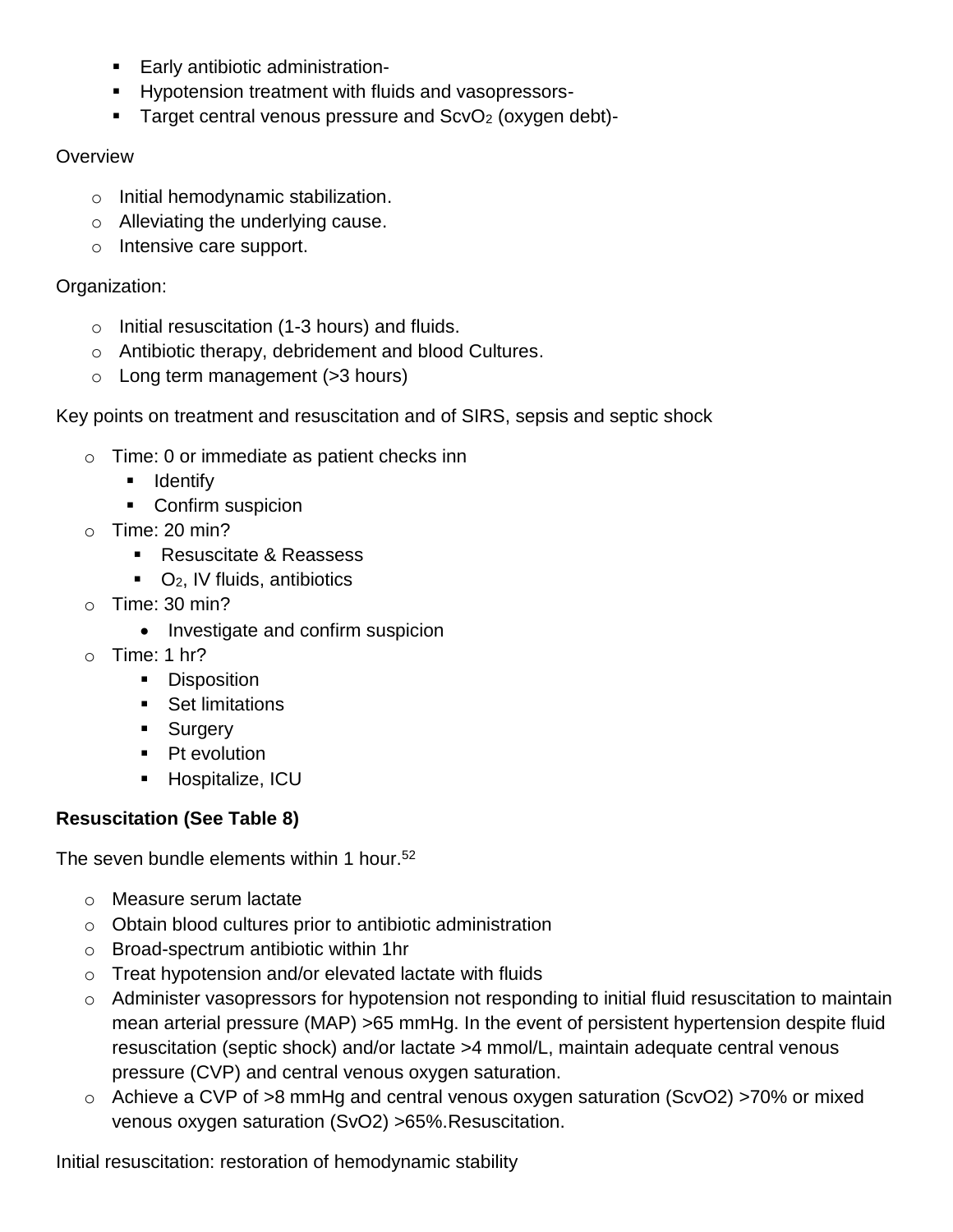- **Early antibiotic administration-**
- **Hypotension treatment with fluids and vasopressors-**
- Target central venous pressure and  $ScvO<sub>2</sub>$  (oxygen debt)-

## **Overview**

- o Initial hemodynamic stabilization.
- o Alleviating the underlying cause.
- o Intensive care support.

# Organization:

- o Initial resuscitation (1-3 hours) and fluids.
- o Antibiotic therapy, debridement and blood Cultures.
- $\circ$  Long term management ( $>3$  hours)

# Key points on treatment and resuscitation and of SIRS, sepsis and septic shock

- o Time: 0 or immediate as patient checks inn
	- **I** Identify
	- Confirm suspicion
- $\circ$  Time: 20 min?
	- Resuscitate & Reassess
	- $\bullet$  O<sub>2</sub>, IV fluids, antibiotics
- $\circ$  Time: 30 min?
	- Investigate and confirm suspicion
- $\circ$  Time: 1 hr?
	- **Disposition**
	- **Set limitations**
	- **Surgery**
	- Pt evolution
	- **Hospitalize, ICU**

# **Resuscitation (See Table 8)**

The seven bundle elements within 1 hour.<sup>52</sup>

- o Measure serum lactate
- o Obtain blood cultures prior to antibiotic administration
- o Broad-spectrum antibiotic within 1hr
- o Treat hypotension and/or elevated lactate with fluids
- o Administer vasopressors for hypotension not responding to initial fluid resuscitation to maintain mean arterial pressure (MAP) >65 mmHg. In the event of persistent hypertension despite fluid resuscitation (septic shock) and/or lactate >4 mmol/L, maintain adequate central venous pressure (CVP) and central venous oxygen saturation.
- o Achieve a CVP of >8 mmHg and central venous oxygen saturation (ScvO2) >70% or mixed venous oxygen saturation (SvO2) >65%.Resuscitation.

Initial resuscitation: restoration of hemodynamic stability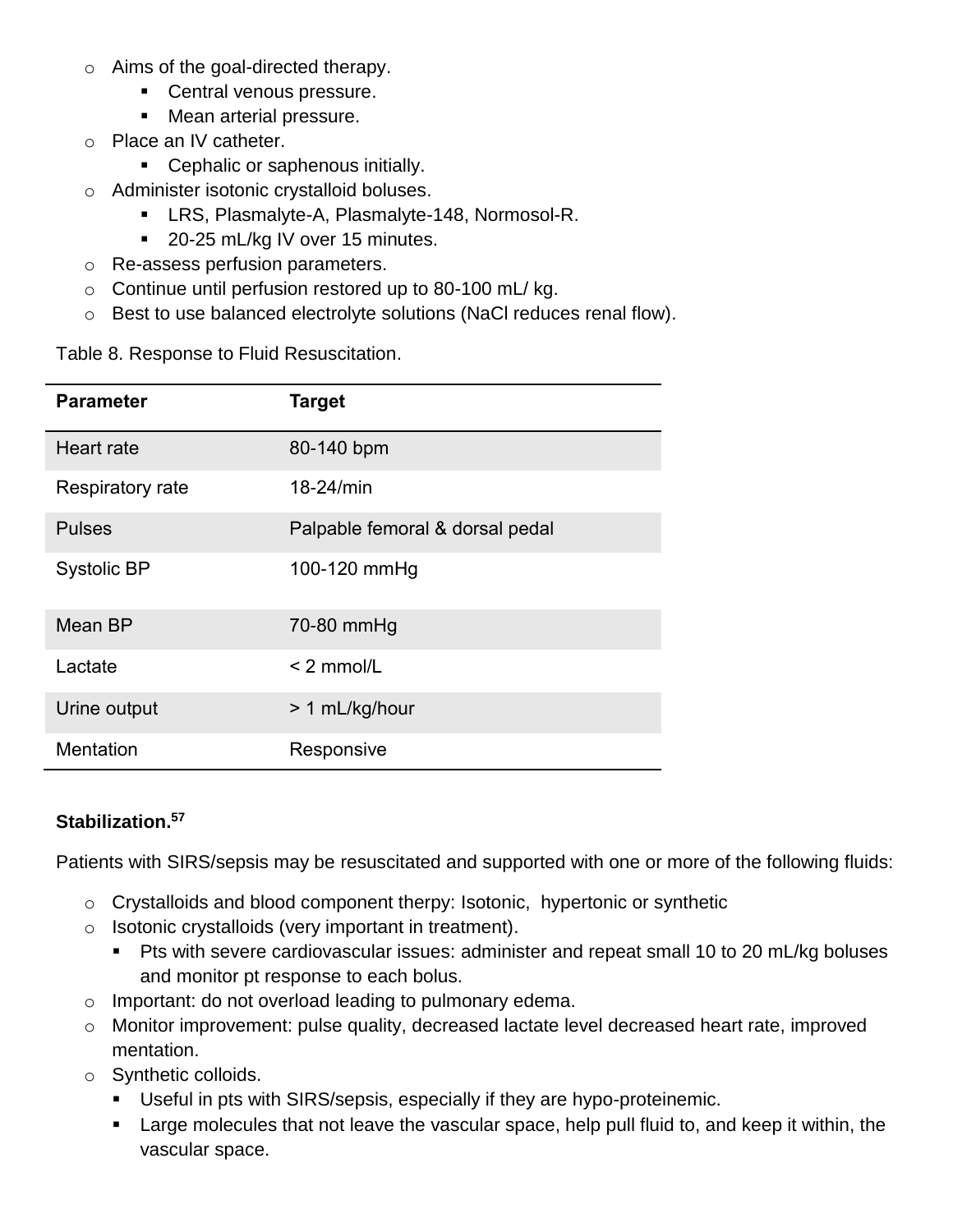- o Aims of the goal-directed therapy.
	- **Central venous pressure.**
	- **Mean arterial pressure.**
- o Place an IV catheter.
	- **Cephalic or saphenous initially.**
- o Administer isotonic crystalloid boluses.
	- **EXECT:** LRS, Plasmalyte-A, Plasmalyte-148, Normosol-R.
	- 20-25 mL/kg IV over 15 minutes.
- o Re-assess perfusion parameters.
- $\circ$  Continue until perfusion restored up to 80-100 mL/kg.
- o Best to use balanced electrolyte solutions (NaCl reduces renal flow).

Table 8. Response to Fluid Resuscitation.

| <b>Parameter</b>   | <b>Target</b>                   |
|--------------------|---------------------------------|
| Heart rate         | 80-140 bpm                      |
| Respiratory rate   | 18-24/min                       |
| <b>Pulses</b>      | Palpable femoral & dorsal pedal |
| <b>Systolic BP</b> | 100-120 mmHg                    |
| Mean BP            | 70-80 mmHg                      |
| Lactate            | $< 2$ mmol/L                    |
| Urine output       | > 1 mL/kg/hour                  |
| <b>Mentation</b>   | Responsive                      |

### **Stabilization.<sup>57</sup>**

Patients with SIRS/sepsis may be resuscitated and supported with one or more of the following fluids:

- o Crystalloids and blood component therpy: Isotonic, hypertonic or synthetic
- o Isotonic crystalloids (very important in treatment).
	- Pts with severe cardiovascular issues: administer and repeat small 10 to 20 mL/kg boluses and monitor pt response to each bolus.
- o Important: do not overload leading to pulmonary edema.
- o Monitor improvement: pulse quality, decreased lactate level decreased heart rate, improved mentation.
- o Synthetic colloids.
	- Useful in pts with SIRS/sepsis, especially if they are hypo-proteinemic.
	- **Large molecules that not leave the vascular space, help pull fluid to, and keep it within, the** vascular space.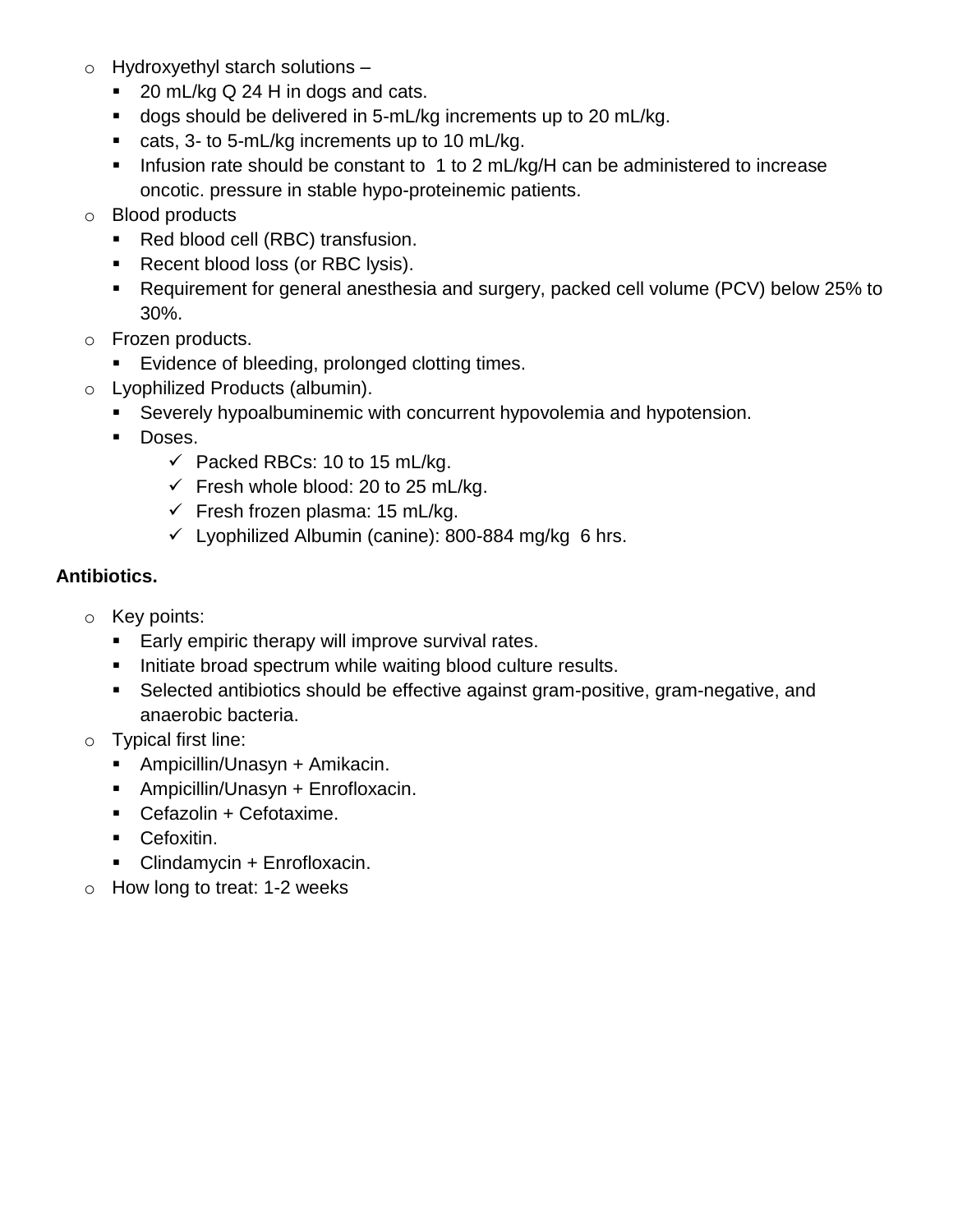- o Hydroxyethyl starch solutions
	- 20 mL/kg Q 24 H in dogs and cats.
	- dogs should be delivered in 5-mL/kg increments up to 20 mL/kg.
	- cats, 3- to 5-mL/kg increments up to 10 mL/kg.
	- Infusion rate should be constant to 1 to 2 mL/kg/H can be administered to increase oncotic. pressure in stable hypo-proteinemic patients.
- o Blood products
	- Red blood cell (RBC) transfusion.
	- Recent blood loss (or RBC lysis).
	- Requirement for general anesthesia and surgery, packed cell volume (PCV) below 25% to 30%.
- o Frozen products.
	- **Evidence of bleeding, prolonged clotting times.**
- o Lyophilized Products (albumin).
	- Severely hypoalbuminemic with concurrent hypovolemia and hypotension.
	- **Doses.** 
		- $\checkmark$  Packed RBCs: 10 to 15 mL/kg.
		- $\checkmark$  Fresh whole blood: 20 to 25 mL/kg.
		- $\checkmark$  Fresh frozen plasma: 15 mL/kg.
		- $\checkmark$  Lyophilized Albumin (canine): 800-884 mg/kg 6 hrs.

#### **Antibiotics.**

- o Key points:
	- **Early empiric therapy will improve survival rates.**
	- **Initiate broad spectrum while waiting blood culture results.**
	- Selected antibiotics should be effective against gram-positive, gram-negative, and anaerobic bacteria.
- o Typical first line:
	- Ampicillin/Unasyn + Amikacin.
	- Ampicillin/Unasyn + Enrofloxacin.
	- Cefazolin + Cefotaxime.
	- **Cefoxitin.**
	- Clindamycin + Enrofloxacin.
- o How long to treat: 1-2 weeks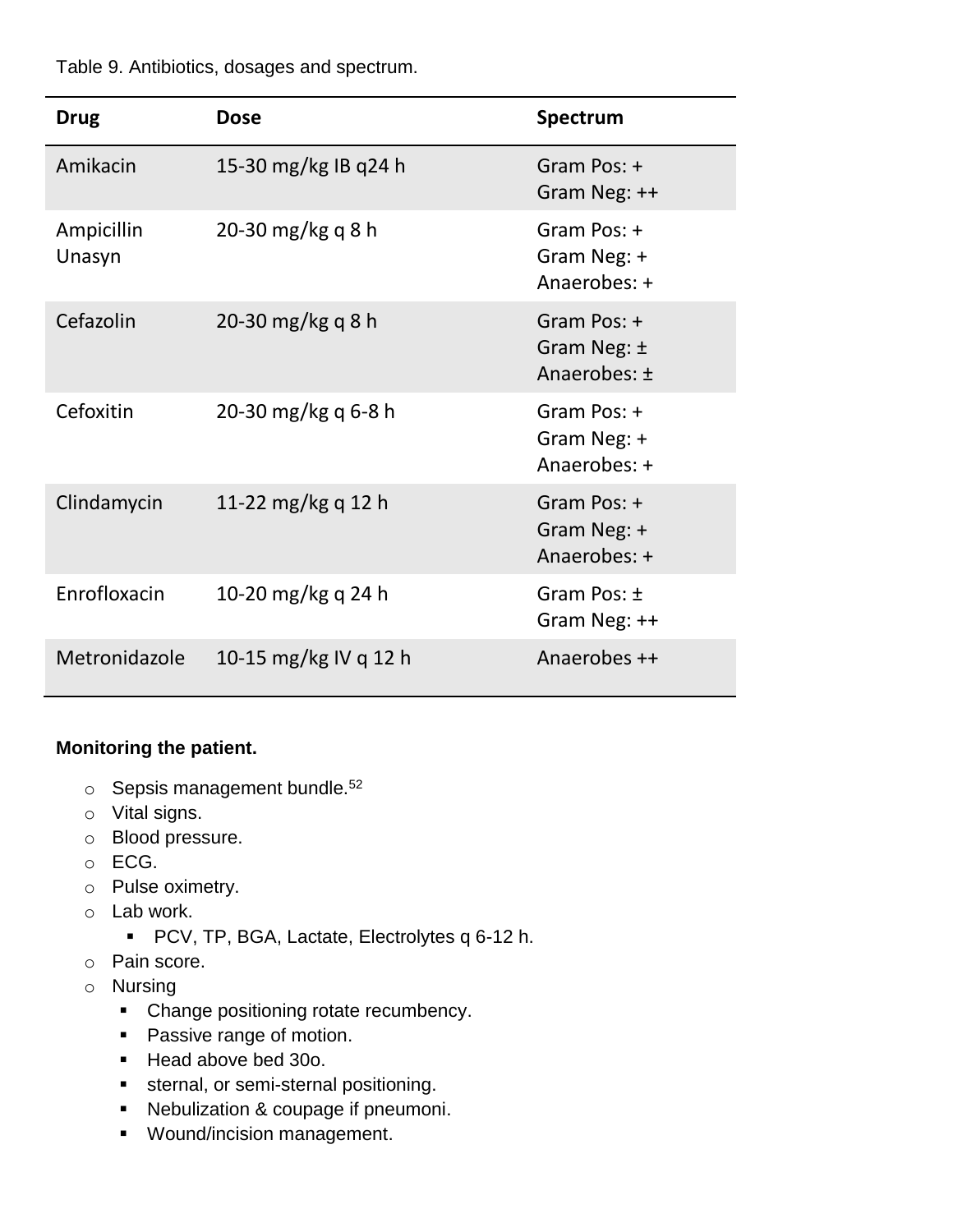Table 9. Antibiotics, dosages and spectrum.

| <b>Drug</b>          | Dose                  | Spectrum                                       |
|----------------------|-----------------------|------------------------------------------------|
| Amikacin             | 15-30 mg/kg IB q24 h  | Gram Pos: +<br>Gram Neg: ++                    |
| Ampicillin<br>Unasyn | 20-30 mg/kg q $8 h$   | Gram Pos: +<br>Gram Neg: +<br>Anaerobes: +     |
| Cefazolin            | 20-30 mg/kg q $8 h$   | Gram Pos: +<br>Gram Neg: $\pm$<br>Anaerobes: ± |
| Cefoxitin            | 20-30 mg/kg q 6-8 h   | Gram Pos: +<br>Gram Neg: +<br>Anaerobes: +     |
| Clindamycin          | 11-22 mg/kg q 12 h    | Gram Pos: +<br>Gram Neg: +<br>Anaerobes: +     |
| Enrofloxacin         | 10-20 mg/kg q 24 h    | Gram Pos: ±<br>Gram Neg: ++                    |
| Metronidazole        | 10-15 mg/kg IV q 12 h | Anaerobes ++                                   |

#### **Monitoring the patient.**

- $\circ$  Sepsis management bundle.<sup>52</sup>
- o Vital signs.
- o Blood pressure.
- o ECG.
- o Pulse oximetry.
- o Lab work.
	- **PCV, TP, BGA, Lactate, Electrolytes q 6-12 h.**
- o Pain score.
- o Nursing
	- Change positioning rotate recumbency.
	- Passive range of motion.
	- Head above bed 30o.
	- sternal, or semi-sternal positioning.
	- Nebulization & coupage if pneumoni.
	- **Wound/incision management.**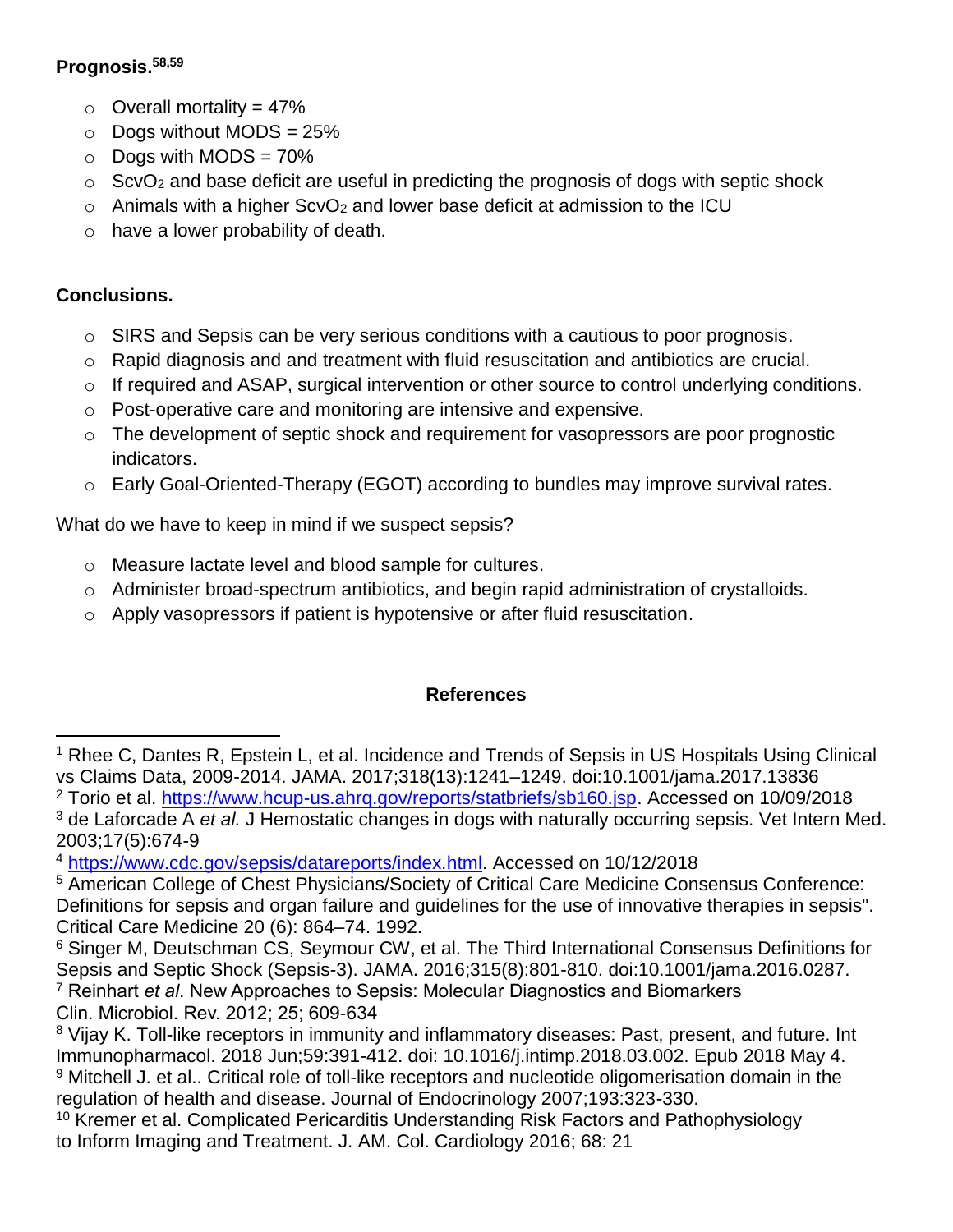## **Prognosis.58,59**

- $\circ$  Overall mortality = 47%
- $\circ$  Dogs without MODS = 25%
- $\circ$  Dogs with MODS = 70%
- $\circ$  ScvO<sub>2</sub> and base deficit are useful in predicting the prognosis of dogs with septic shock
- $\circ$  Animals with a higher ScvO<sub>2</sub> and lower base deficit at admission to the ICU
- o have a lower probability of death.

# **Conclusions.**

- $\circ$  SIRS and Sepsis can be very serious conditions with a cautious to poor prognosis.
- o Rapid diagnosis and and treatment with fluid resuscitation and antibiotics are crucial.
- $\circ$  If required and ASAP, surgical intervention or other source to control underlying conditions.
- o Post-operative care and monitoring are intensive and expensive.
- $\circ$  The development of septic shock and requirement for vasopressors are poor prognostic indicators.
- o Early Goal-Oriented-Therapy (EGOT) according to bundles may improve survival rates.

What do we have to keep in mind if we suspect sepsis?

- o Measure lactate level and blood sample for cultures.
- o Administer broad-spectrum antibiotics, and begin rapid administration of crystalloids.
- $\circ$  Apply vasopressors if patient is hypotensive or after fluid resuscitation.

## **References**

l <sup>1</sup> Rhee C, Dantes R, Epstein L, et al. Incidence and Trends of Sepsis in US Hospitals Using Clinical vs Claims Data, 2009-2014. JAMA. 2017;318(13):1241–1249. doi:10.1001/jama.2017.13836 <sup>2</sup> Torio et al. [https://www.hcup-us.ahrq.gov/reports/statbriefs/sb160.jsp.](https://www.hcup-us.ahrq.gov/reports/statbriefs/sb160.jsp) Accessed on 10/09/2018 <sup>3</sup> de Laforcade A *et al.* J Hemostatic changes in dogs with naturally occurring sepsis. Vet Intern Med. 2003;17(5):674-9

<sup>&</sup>lt;sup>4</sup> [https://www.cdc.gov/sepsis/datareports/index.html.](https://www.cdc.gov/sepsis/datareports/index.html) Accessed on 10/12/2018

<sup>5</sup> American College of Chest Physicians/Society of Critical Care Medicine Consensus Conference: Definitions for sepsis and organ failure and guidelines for the use of innovative therapies in sepsis". Critical Care Medicine 20 (6): 864–74. 1992.

<sup>6</sup> Singer M, Deutschman CS, Seymour CW, et al. The Third International Consensus Definitions for Sepsis and Septic Shock (Sepsis-3). JAMA. 2016;315(8):801-810. doi:10.1001/jama.2016.0287. <sup>7</sup> Reinhart *et al*. New Approaches to Sepsis: Molecular Diagnostics and Biomarkers Clin. Microbiol. Rev. 2012; 25; 609-634

<sup>&</sup>lt;sup>8</sup> Vijay K. Toll-like receptors in immunity and inflammatory diseases: Past, present, and future. Int Immunopharmacol. 2018 Jun;59:391-412. doi: 10.1016/j.intimp.2018.03.002. Epub 2018 May 4. 9 Mitchell J. et al.. Critical role of toll-like receptors and nucleotide oligomerisation domain in the regulation of health and disease. Journal of Endocrinology 2007;193:323-330.

<sup>&</sup>lt;sup>10</sup> Kremer et al. Complicated Pericarditis Understanding Risk Factors and Pathophysiology to Inform Imaging and Treatment. J. AM. Col. Cardiology 2016; 68: 21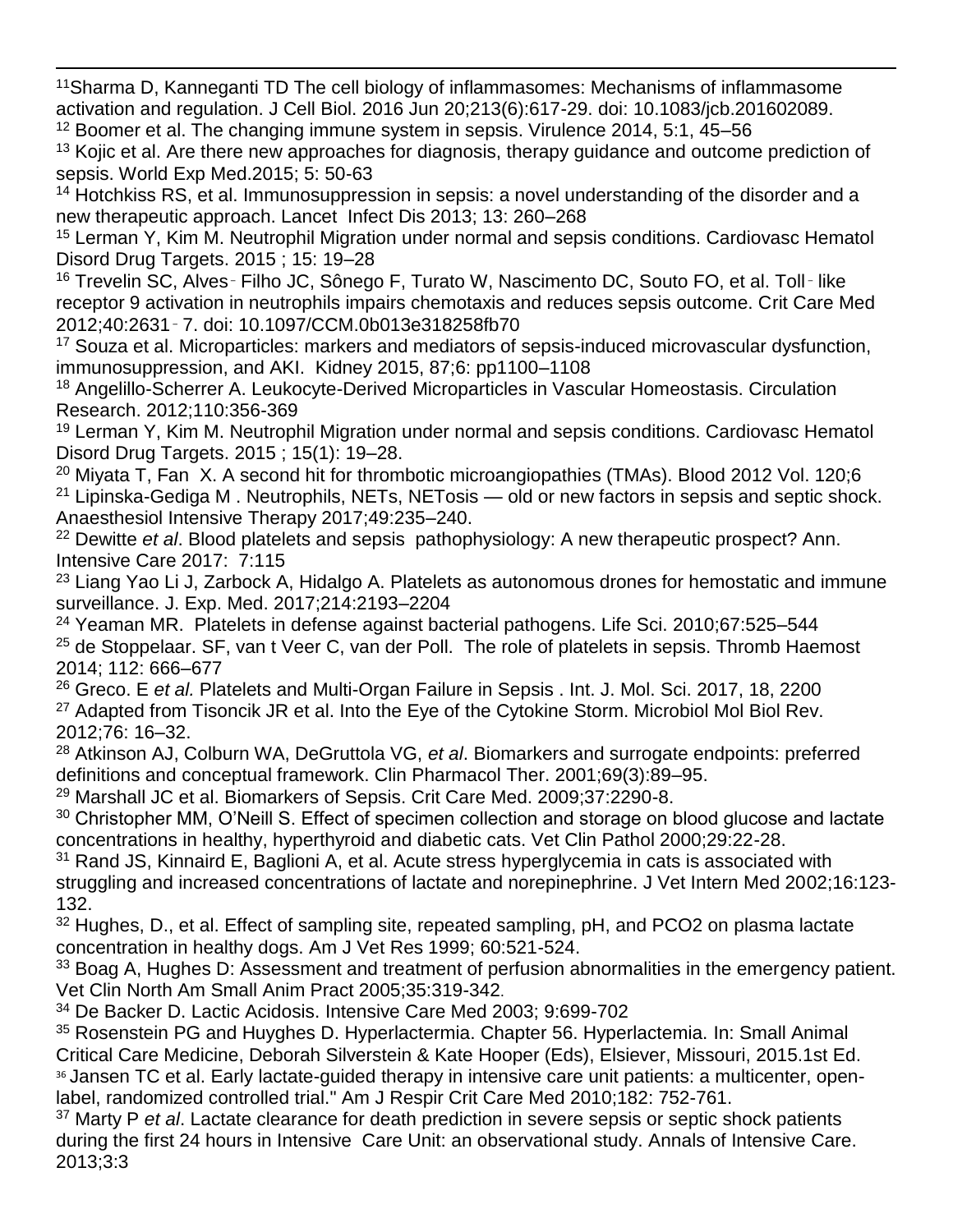$\overline{\phantom{a}}$ <sup>11</sup>Sharma D, Kanneganti TD The cell biology of inflammasomes: Mechanisms of inflammasome activation and regulation. J Cell Biol. 2016 Jun 20;213(6):617-29. doi: 10.1083/jcb.201602089. <sup>12</sup> Boomer et al. The changing immune system in sepsis. Virulence 2014, 5:1, 45–56

 $13$  Kojic et al. Are there new approaches for diagnosis, therapy guidance and outcome prediction of sepsis. World Exp Med.2015; 5: 50-63

<sup>14</sup> Hotchkiss RS, et al. Immunosuppression in sepsis: a novel understanding of the disorder and a new therapeutic approach. Lancet Infect Dis 2013; 13: 260–268

<sup>15</sup> Lerman Y, Kim M. Neutrophil Migration under normal and sepsis conditions. Cardiovasc Hematol Disord Drug Targets. 2015 ; 15: 19–28

<sup>16</sup> Trevelin SC, Alves - Filho JC, Sônego F, Turato W, Nascimento DC, Souto FO, et al. Toll - like receptor 9 activation in neutrophils impairs chemotaxis and reduces sepsis outcome. Crit Care Med 2012;40:2631‑ 7. doi: 10.1097/CCM.0b013e318258fb70

<sup>17</sup> Souza et al. Microparticles: markers and mediators of sepsis-induced microvascular dysfunction, immunosuppression, and AKI. Kidney 2015, 87;6: pp1100–1108

<sup>18</sup> Angelillo-Scherrer A. Leukocyte-Derived Microparticles in Vascular Homeostasis. Circulation Research. 2012;110:356-369

<sup>19</sup> Lerman Y, Kim M. Neutrophil Migration under normal and sepsis conditions. Cardiovasc Hematol Disord Drug Targets. 2015 ; 15(1): 19–28.

<sup>20</sup> Miyata T, Fan X. A second hit for thrombotic microangiopathies (TMAs). Blood 2012 Vol. 120;6  $21$  Lipinska-Gediga M. Neutrophils, NETs, NETosis — old or new factors in sepsis and septic shock. Anaesthesiol Intensive Therapy 2017;49:235–240.

<sup>22</sup> Dewitte *et al*. Blood platelets and sepsis pathophysiology: A new therapeutic prospect? Ann. Intensive Care 2017: 7:115

<sup>23</sup> Liang Yao Li J, Zarbock A, Hidalgo A. Platelets as autonomous drones for hemostatic and immune surveillance. J. Exp. Med. 2017;214:2193–2204

<sup>24</sup> Yeaman MR. Platelets in defense against bacterial pathogens. Life Sci. 2010:67:525–544 <sup>25</sup> de Stoppelaar. SF, van t Veer C, van der Poll. The role of platelets in sepsis. Thromb Haemost 2014; 112: 666–677

<sup>26</sup> Greco. E *et al.* Platelets and Multi-Organ Failure in Sepsis . Int. J. Mol. Sci. 2017, 18, 2200 <sup>27</sup> Adapted from Tisoncik JR et al. Into the Eye of the Cytokine Storm. Microbiol Mol Biol Rev. 2012;76: 16–32.

<sup>28</sup> Atkinson AJ, Colburn WA, DeGruttola VG, *et al*. Biomarkers and surrogate endpoints: preferred definitions and conceptual framework. Clin Pharmacol Ther. 2001;69(3):89–95.

<sup>29</sup> Marshall JC et al. Biomarkers of Sepsis. Crit Care Med. 2009;37:2290-8.

<sup>30</sup> Christopher MM, O'Neill S. Effect of specimen collection and storage on blood glucose and lactate concentrations in healthy, hyperthyroid and diabetic cats. Vet Clin Pathol 2000;29:22-28.

<sup>31</sup> Rand JS, Kinnaird E, Baglioni A, et al. Acute stress hyperglycemia in cats is associated with struggling and increased concentrations of lactate and norepinephrine. J Vet Intern Med 2002;16:123- 132.

 $32$  Hughes, D., et al. Effect of sampling site, repeated sampling, pH, and PCO2 on plasma lactate concentration in healthy dogs. Am J Vet Res 1999; 60:521-524.

<sup>33</sup> Boag A, Hughes D: Assessment and treatment of perfusion abnormalities in the emergency patient. Vet Clin North Am Small Anim Pract 2005;35:319-342.

<sup>34</sup> De Backer D. Lactic Acidosis. Intensive Care Med 2003; 9:699-702

<sup>35</sup> Rosenstein PG and Huyghes D. Hyperlactermia. Chapter 56. Hyperlactemia. In: Small Animal Critical Care Medicine, Deborah Silverstein & Kate Hooper (Eds), Elsiever, Missouri, 2015.1st Ed. <sup>36</sup> Jansen TC et al. Early lactate-guided therapy in intensive care unit patients: a multicenter, openlabel, randomized controlled trial." Am J Respir Crit Care Med 2010;182: 752-761.

<sup>37</sup> Marty P *et al*. Lactate clearance for death prediction in severe sepsis or septic shock patients during the first 24 hours in Intensive Care Unit: an observational study. Annals of Intensive Care. 2013;3:3